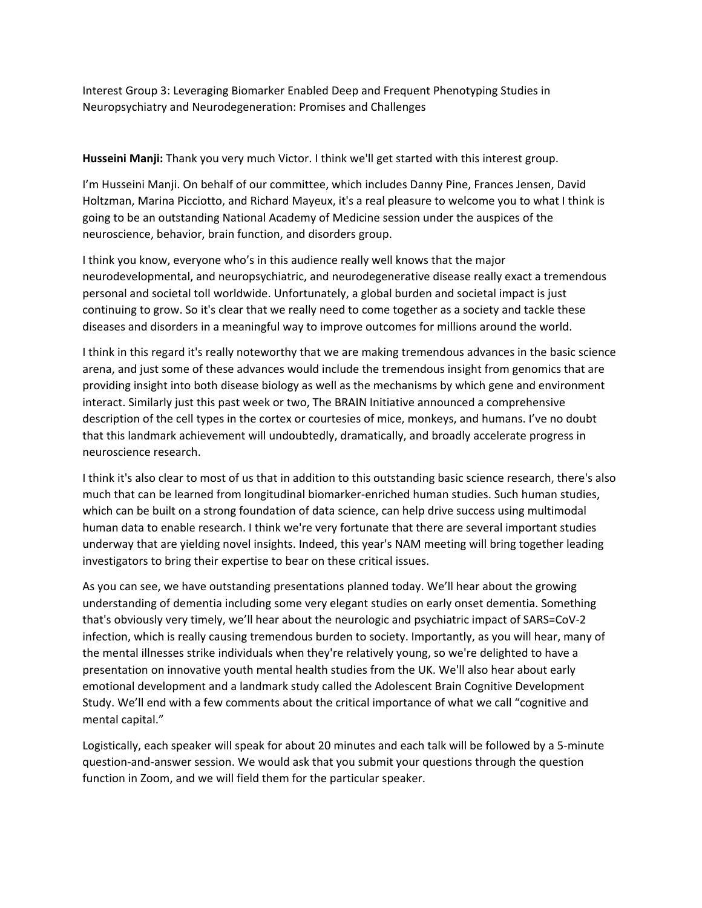Interest Group 3: Leveraging Biomarker Enabled Deep and Frequent Phenotyping Studies in Neuropsychiatry and Neurodegeneration: Promises and Challenges

**Husseini Manji:** Thank you very much Victor. I think we'll get started with this interest group.

I'm Husseini Manji. On behalf of our committee, which includes Danny Pine, Frances Jensen, David Holtzman, Marina Picciotto, and Richard Mayeux, it's a real pleasure to welcome you to what I think is going to be an outstanding National Academy of Medicine session under the auspices of the neuroscience, behavior, brain function, and disorders group.

I think you know, everyone who's in this audience really well knows that the major neurodevelopmental, and neuropsychiatric, and neurodegenerative disease really exact a tremendous personal and societal toll worldwide. Unfortunately, a global burden and societal impact is just continuing to grow. So it's clear that we really need to come together as a society and tackle these diseases and disorders in a meaningful way to improve outcomes for millions around the world.

I think in this regard it's really noteworthy that we are making tremendous advances in the basic science arena, and just some of these advances would include the tremendous insight from genomics that are providing insight into both disease biology as well as the mechanisms by which gene and environment interact. Similarly just this past week or two, The BRAIN Initiative announced a comprehensive description of the cell types in the cortex or courtesies of mice, monkeys, and humans. I've no doubt that this landmark achievement will undoubtedly, dramatically, and broadly accelerate progress in neuroscience research.

I think it's also clear to most of us that in addition to this outstanding basic science research, there's also much that can be learned from longitudinal biomarker‐enriched human studies. Such human studies, which can be built on a strong foundation of data science, can help drive success using multimodal human data to enable research. I think we're very fortunate that there are several important studies underway that are yielding novel insights. Indeed, this year's NAM meeting will bring together leading investigators to bring their expertise to bear on these critical issues.

As you can see, we have outstanding presentations planned today. We'll hear about the growing understanding of dementia including some very elegant studies on early onset dementia. Something that's obviously very timely, we'll hear about the neurologic and psychiatric impact of SARS=CoV‐2 infection, which is really causing tremendous burden to society. Importantly, as you will hear, many of the mental illnesses strike individuals when they're relatively young, so we're delighted to have a presentation on innovative youth mental health studies from the UK. We'll also hear about early emotional development and a landmark study called the Adolescent Brain Cognitive Development Study. We'll end with a few comments about the critical importance of what we call "cognitive and mental capital."

Logistically, each speaker will speak for about 20 minutes and each talk will be followed by a 5‐minute question‐and‐answer session. We would ask that you submit your questions through the question function in Zoom, and we will field them for the particular speaker.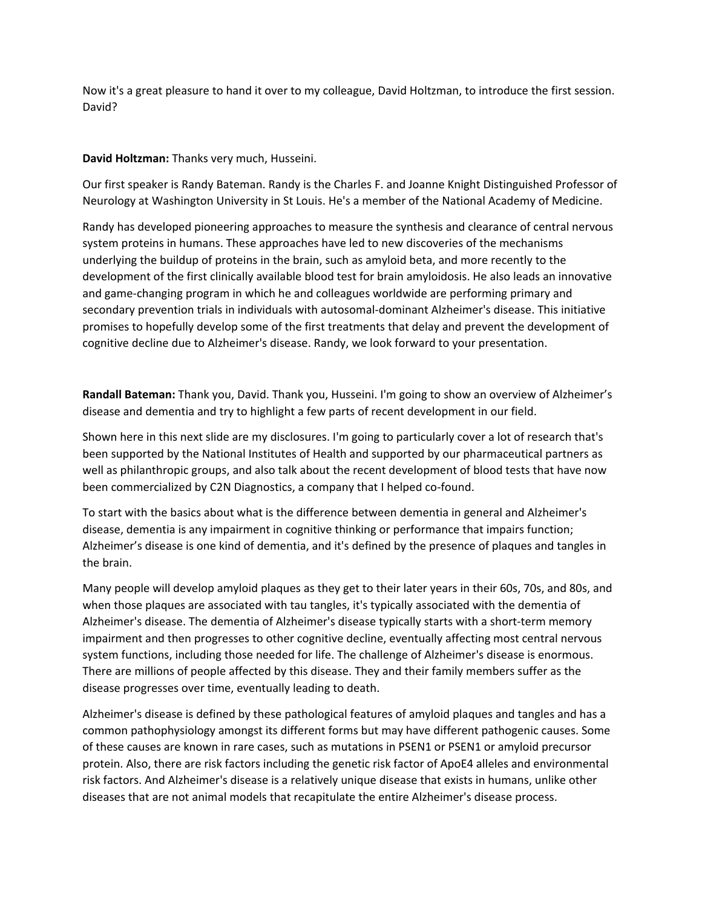Now it's a great pleasure to hand it over to my colleague, David Holtzman, to introduce the first session. David?

## **David Holtzman:** Thanks very much, Husseini.

Our first speaker is Randy Bateman. Randy is the Charles F. and Joanne Knight Distinguished Professor of Neurology at Washington University in St Louis. He's a member of the National Academy of Medicine.

Randy has developed pioneering approaches to measure the synthesis and clearance of central nervous system proteins in humans. These approaches have led to new discoveries of the mechanisms underlying the buildup of proteins in the brain, such as amyloid beta, and more recently to the development of the first clinically available blood test for brain amyloidosis. He also leads an innovative and game‐changing program in which he and colleagues worldwide are performing primary and secondary prevention trials in individuals with autosomal-dominant Alzheimer's disease. This initiative promises to hopefully develop some of the first treatments that delay and prevent the development of cognitive decline due to Alzheimer's disease. Randy, we look forward to your presentation.

**Randall Bateman:** Thank you, David. Thank you, Husseini. I'm going to show an overview of Alzheimer's disease and dementia and try to highlight a few parts of recent development in our field.

Shown here in this next slide are my disclosures. I'm going to particularly cover a lot of research that's been supported by the National Institutes of Health and supported by our pharmaceutical partners as well as philanthropic groups, and also talk about the recent development of blood tests that have now been commercialized by C2N Diagnostics, a company that I helped co-found.

To start with the basics about what is the difference between dementia in general and Alzheimer's disease, dementia is any impairment in cognitive thinking or performance that impairs function; Alzheimer's disease is one kind of dementia, and it's defined by the presence of plaques and tangles in the brain.

Many people will develop amyloid plaques as they get to their later years in their 60s, 70s, and 80s, and when those plaques are associated with tau tangles, it's typically associated with the dementia of Alzheimer's disease. The dementia of Alzheimer's disease typically starts with a short‐term memory impairment and then progresses to other cognitive decline, eventually affecting most central nervous system functions, including those needed for life. The challenge of Alzheimer's disease is enormous. There are millions of people affected by this disease. They and their family members suffer as the disease progresses over time, eventually leading to death.

Alzheimer's disease is defined by these pathological features of amyloid plaques and tangles and has a common pathophysiology amongst its different forms but may have different pathogenic causes. Some of these causes are known in rare cases, such as mutations in PSEN1 or PSEN1 or amyloid precursor protein. Also, there are risk factors including the genetic risk factor of ApoE4 alleles and environmental risk factors. And Alzheimer's disease is a relatively unique disease that exists in humans, unlike other diseases that are not animal models that recapitulate the entire Alzheimer's disease process.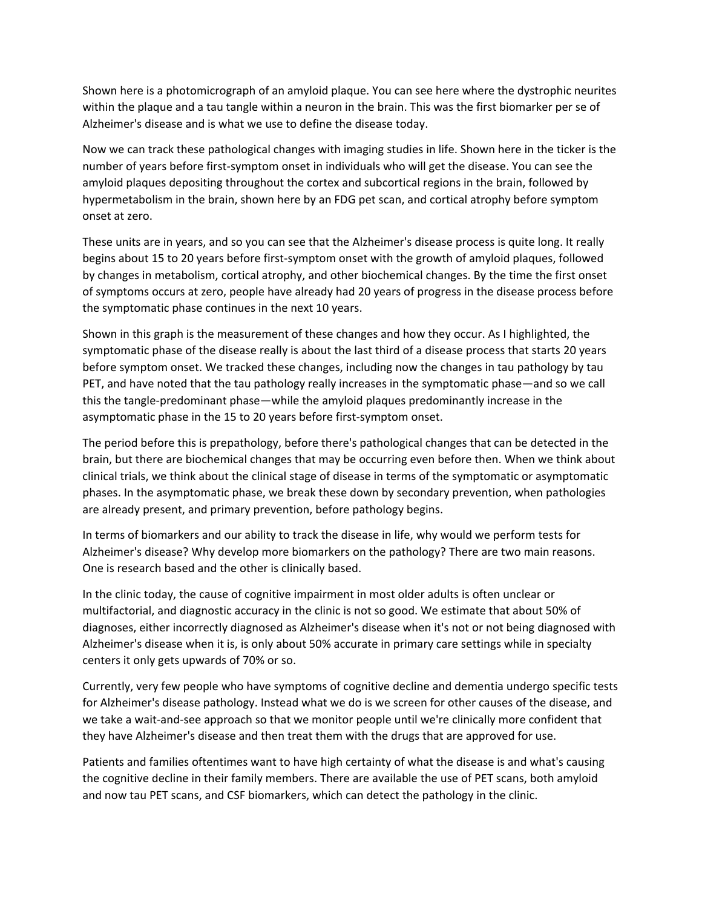Shown here is a photomicrograph of an amyloid plaque. You can see here where the dystrophic neurites within the plaque and a tau tangle within a neuron in the brain. This was the first biomarker per se of Alzheimer's disease and is what we use to define the disease today.

Now we can track these pathological changes with imaging studies in life. Shown here in the ticker is the number of years before first‐symptom onset in individuals who will get the disease. You can see the amyloid plaques depositing throughout the cortex and subcortical regions in the brain, followed by hypermetabolism in the brain, shown here by an FDG pet scan, and cortical atrophy before symptom onset at zero.

These units are in years, and so you can see that the Alzheimer's disease process is quite long. It really begins about 15 to 20 years before first-symptom onset with the growth of amyloid plaques, followed by changes in metabolism, cortical atrophy, and other biochemical changes. By the time the first onset of symptoms occurs at zero, people have already had 20 years of progress in the disease process before the symptomatic phase continues in the next 10 years.

Shown in this graph is the measurement of these changes and how they occur. As I highlighted, the symptomatic phase of the disease really is about the last third of a disease process that starts 20 years before symptom onset. We tracked these changes, including now the changes in tau pathology by tau PET, and have noted that the tau pathology really increases in the symptomatic phase—and so we call this the tangle‐predominant phase—while the amyloid plaques predominantly increase in the asymptomatic phase in the 15 to 20 years before first‐symptom onset.

The period before this is prepathology, before there's pathological changes that can be detected in the brain, but there are biochemical changes that may be occurring even before then. When we think about clinical trials, we think about the clinical stage of disease in terms of the symptomatic or asymptomatic phases. In the asymptomatic phase, we break these down by secondary prevention, when pathologies are already present, and primary prevention, before pathology begins.

In terms of biomarkers and our ability to track the disease in life, why would we perform tests for Alzheimer's disease? Why develop more biomarkers on the pathology? There are two main reasons. One is research based and the other is clinically based.

In the clinic today, the cause of cognitive impairment in most older adults is often unclear or multifactorial, and diagnostic accuracy in the clinic is not so good. We estimate that about 50% of diagnoses, either incorrectly diagnosed as Alzheimer's disease when it's not or not being diagnosed with Alzheimer's disease when it is, is only about 50% accurate in primary care settings while in specialty centers it only gets upwards of 70% or so.

Currently, very few people who have symptoms of cognitive decline and dementia undergo specific tests for Alzheimer's disease pathology. Instead what we do is we screen for other causes of the disease, and we take a wait-and-see approach so that we monitor people until we're clinically more confident that they have Alzheimer's disease and then treat them with the drugs that are approved for use.

Patients and families oftentimes want to have high certainty of what the disease is and what's causing the cognitive decline in their family members. There are available the use of PET scans, both amyloid and now tau PET scans, and CSF biomarkers, which can detect the pathology in the clinic.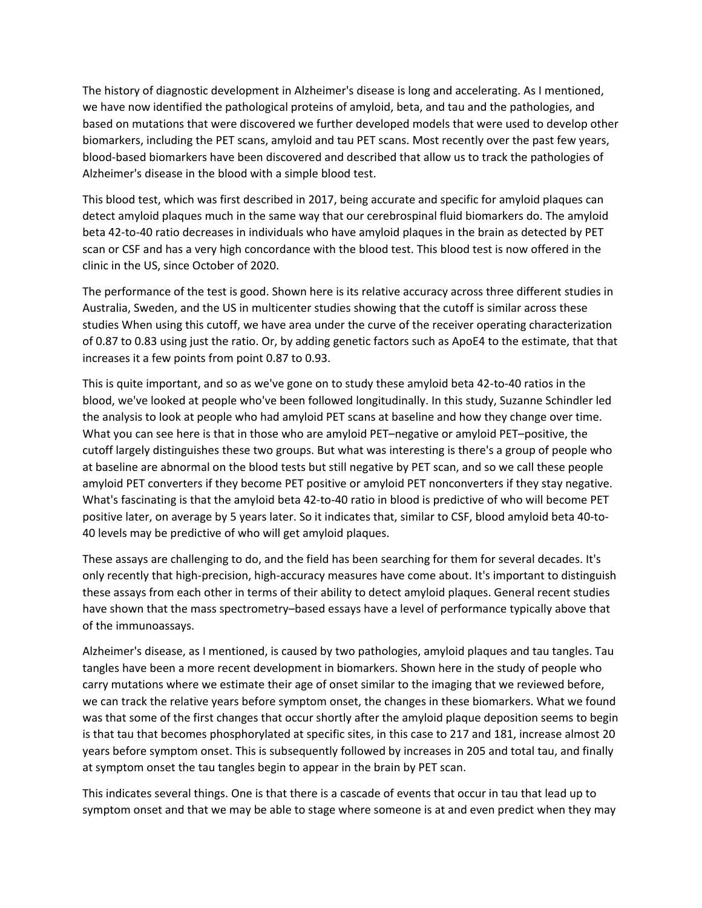The history of diagnostic development in Alzheimer's disease is long and accelerating. As I mentioned, we have now identified the pathological proteins of amyloid, beta, and tau and the pathologies, and based on mutations that were discovered we further developed models that were used to develop other biomarkers, including the PET scans, amyloid and tau PET scans. Most recently over the past few years, blood‐based biomarkers have been discovered and described that allow us to track the pathologies of Alzheimer's disease in the blood with a simple blood test.

This blood test, which was first described in 2017, being accurate and specific for amyloid plaques can detect amyloid plaques much in the same way that our cerebrospinal fluid biomarkers do. The amyloid beta 42‐to‐40 ratio decreases in individuals who have amyloid plaques in the brain as detected by PET scan or CSF and has a very high concordance with the blood test. This blood test is now offered in the clinic in the US, since October of 2020.

The performance of the test is good. Shown here is its relative accuracy across three different studies in Australia, Sweden, and the US in multicenter studies showing that the cutoff is similar across these studies When using this cutoff, we have area under the curve of the receiver operating characterization of 0.87 to 0.83 using just the ratio. Or, by adding genetic factors such as ApoE4 to the estimate, that that increases it a few points from point 0.87 to 0.93.

This is quite important, and so as we've gone on to study these amyloid beta 42‐to‐40 ratios in the blood, we've looked at people who've been followed longitudinally. In this study, Suzanne Schindler led the analysis to look at people who had amyloid PET scans at baseline and how they change over time. What you can see here is that in those who are amyloid PET–negative or amyloid PET–positive, the cutoff largely distinguishes these two groups. But what was interesting is there's a group of people who at baseline are abnormal on the blood tests but still negative by PET scan, and so we call these people amyloid PET converters if they become PET positive or amyloid PET nonconverters if they stay negative. What's fascinating is that the amyloid beta 42-to-40 ratio in blood is predictive of who will become PET positive later, on average by 5 years later. So it indicates that, similar to CSF, blood amyloid beta 40‐to‐ 40 levels may be predictive of who will get amyloid plaques.

These assays are challenging to do, and the field has been searching for them for several decades. It's only recently that high‐precision, high‐accuracy measures have come about. It's important to distinguish these assays from each other in terms of their ability to detect amyloid plaques. General recent studies have shown that the mass spectrometry–based essays have a level of performance typically above that of the immunoassays.

Alzheimer's disease, as I mentioned, is caused by two pathologies, amyloid plaques and tau tangles. Tau tangles have been a more recent development in biomarkers. Shown here in the study of people who carry mutations where we estimate their age of onset similar to the imaging that we reviewed before, we can track the relative years before symptom onset, the changes in these biomarkers. What we found was that some of the first changes that occur shortly after the amyloid plaque deposition seems to begin is that tau that becomes phosphorylated at specific sites, in this case to 217 and 181, increase almost 20 years before symptom onset. This is subsequently followed by increases in 205 and total tau, and finally at symptom onset the tau tangles begin to appear in the brain by PET scan.

This indicates several things. One is that there is a cascade of events that occur in tau that lead up to symptom onset and that we may be able to stage where someone is at and even predict when they may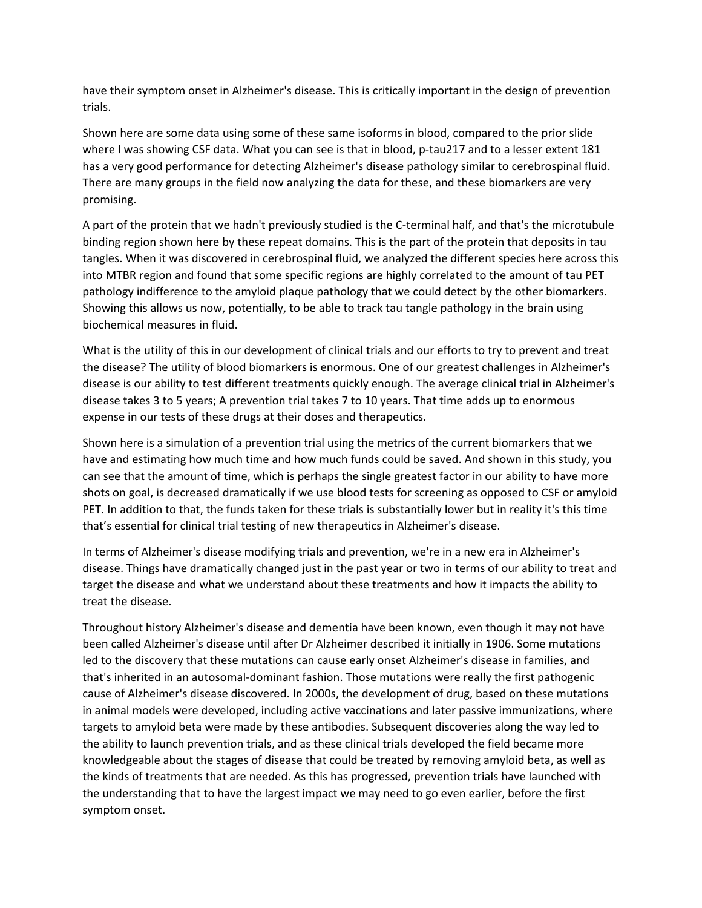have their symptom onset in Alzheimer's disease. This is critically important in the design of prevention trials.

Shown here are some data using some of these same isoforms in blood, compared to the prior slide where I was showing CSF data. What you can see is that in blood, p-tau217 and to a lesser extent 181 has a very good performance for detecting Alzheimer's disease pathology similar to cerebrospinal fluid. There are many groups in the field now analyzing the data for these, and these biomarkers are very promising.

A part of the protein that we hadn't previously studied is the C‐terminal half, and that's the microtubule binding region shown here by these repeat domains. This is the part of the protein that deposits in tau tangles. When it was discovered in cerebrospinal fluid, we analyzed the different species here across this into MTBR region and found that some specific regions are highly correlated to the amount of tau PET pathology indifference to the amyloid plaque pathology that we could detect by the other biomarkers. Showing this allows us now, potentially, to be able to track tau tangle pathology in the brain using biochemical measures in fluid.

What is the utility of this in our development of clinical trials and our efforts to try to prevent and treat the disease? The utility of blood biomarkers is enormous. One of our greatest challenges in Alzheimer's disease is our ability to test different treatments quickly enough. The average clinical trial in Alzheimer's disease takes 3 to 5 years; A prevention trial takes 7 to 10 years. That time adds up to enormous expense in our tests of these drugs at their doses and therapeutics.

Shown here is a simulation of a prevention trial using the metrics of the current biomarkers that we have and estimating how much time and how much funds could be saved. And shown in this study, you can see that the amount of time, which is perhaps the single greatest factor in our ability to have more shots on goal, is decreased dramatically if we use blood tests for screening as opposed to CSF or amyloid PET. In addition to that, the funds taken for these trials is substantially lower but in reality it's this time that's essential for clinical trial testing of new therapeutics in Alzheimer's disease.

In terms of Alzheimer's disease modifying trials and prevention, we're in a new era in Alzheimer's disease. Things have dramatically changed just in the past year or two in terms of our ability to treat and target the disease and what we understand about these treatments and how it impacts the ability to treat the disease.

Throughout history Alzheimer's disease and dementia have been known, even though it may not have been called Alzheimer's disease until after Dr Alzheimer described it initially in 1906. Some mutations led to the discovery that these mutations can cause early onset Alzheimer's disease in families, and that's inherited in an autosomal‐dominant fashion. Those mutations were really the first pathogenic cause of Alzheimer's disease discovered. In 2000s, the development of drug, based on these mutations in animal models were developed, including active vaccinations and later passive immunizations, where targets to amyloid beta were made by these antibodies. Subsequent discoveries along the way led to the ability to launch prevention trials, and as these clinical trials developed the field became more knowledgeable about the stages of disease that could be treated by removing amyloid beta, as well as the kinds of treatments that are needed. As this has progressed, prevention trials have launched with the understanding that to have the largest impact we may need to go even earlier, before the first symptom onset.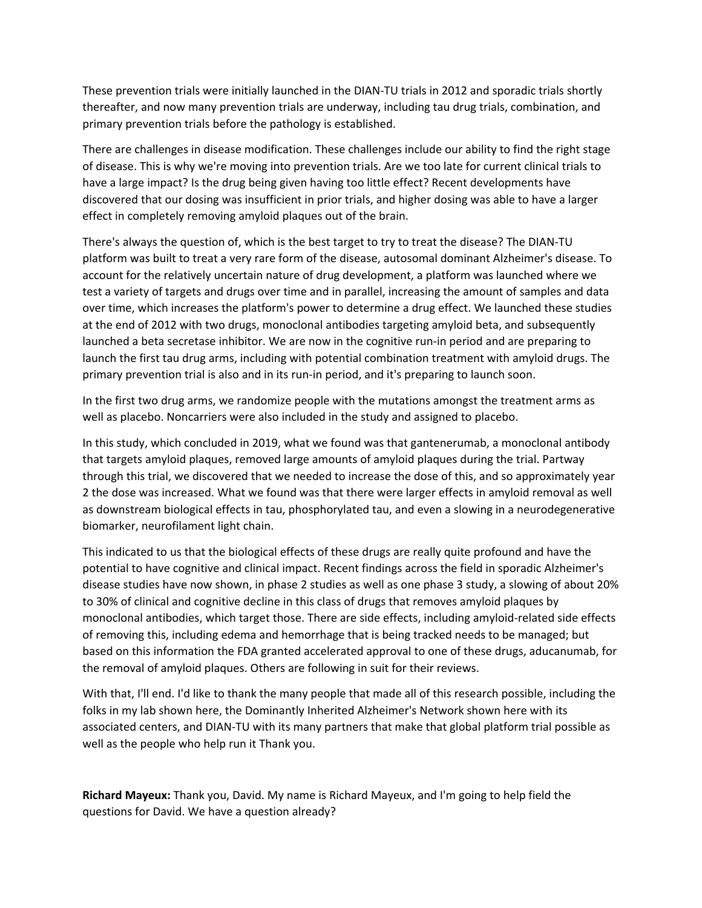These prevention trials were initially launched in the DIAN‐TU trials in 2012 and sporadic trials shortly thereafter, and now many prevention trials are underway, including tau drug trials, combination, and primary prevention trials before the pathology is established.

There are challenges in disease modification. These challenges include our ability to find the right stage of disease. This is why we're moving into prevention trials. Are we too late for current clinical trials to have a large impact? Is the drug being given having too little effect? Recent developments have discovered that our dosing was insufficient in prior trials, and higher dosing was able to have a larger effect in completely removing amyloid plaques out of the brain.

There's always the question of, which is the best target to try to treat the disease? The DIAN‐TU platform was built to treat a very rare form of the disease, autosomal dominant Alzheimer's disease. To account for the relatively uncertain nature of drug development, a platform was launched where we test a variety of targets and drugs over time and in parallel, increasing the amount of samples and data over time, which increases the platform's power to determine a drug effect. We launched these studies at the end of 2012 with two drugs, monoclonal antibodies targeting amyloid beta, and subsequently launched a beta secretase inhibitor. We are now in the cognitive run-in period and are preparing to launch the first tau drug arms, including with potential combination treatment with amyloid drugs. The primary prevention trial is also and in its run‐in period, and it's preparing to launch soon.

In the first two drug arms, we randomize people with the mutations amongst the treatment arms as well as placebo. Noncarriers were also included in the study and assigned to placebo.

In this study, which concluded in 2019, what we found was that gantenerumab, a monoclonal antibody that targets amyloid plaques, removed large amounts of amyloid plaques during the trial. Partway through this trial, we discovered that we needed to increase the dose of this, and so approximately year 2 the dose was increased. What we found was that there were larger effects in amyloid removal as well as downstream biological effects in tau, phosphorylated tau, and even a slowing in a neurodegenerative biomarker, neurofilament light chain.

This indicated to us that the biological effects of these drugs are really quite profound and have the potential to have cognitive and clinical impact. Recent findings across the field in sporadic Alzheimer's disease studies have now shown, in phase 2 studies as well as one phase 3 study, a slowing of about 20% to 30% of clinical and cognitive decline in this class of drugs that removes amyloid plaques by monoclonal antibodies, which target those. There are side effects, including amyloid‐related side effects of removing this, including edema and hemorrhage that is being tracked needs to be managed; but based on this information the FDA granted accelerated approval to one of these drugs, aducanumab, for the removal of amyloid plaques. Others are following in suit for their reviews.

With that, I'll end. I'd like to thank the many people that made all of this research possible, including the folks in my lab shown here, the Dominantly Inherited Alzheimer's Network shown here with its associated centers, and DIAN‐TU with its many partners that make that global platform trial possible as well as the people who help run it Thank you.

**Richard Mayeux:** Thank you, David. My name is Richard Mayeux, and I'm going to help field the questions for David. We have a question already?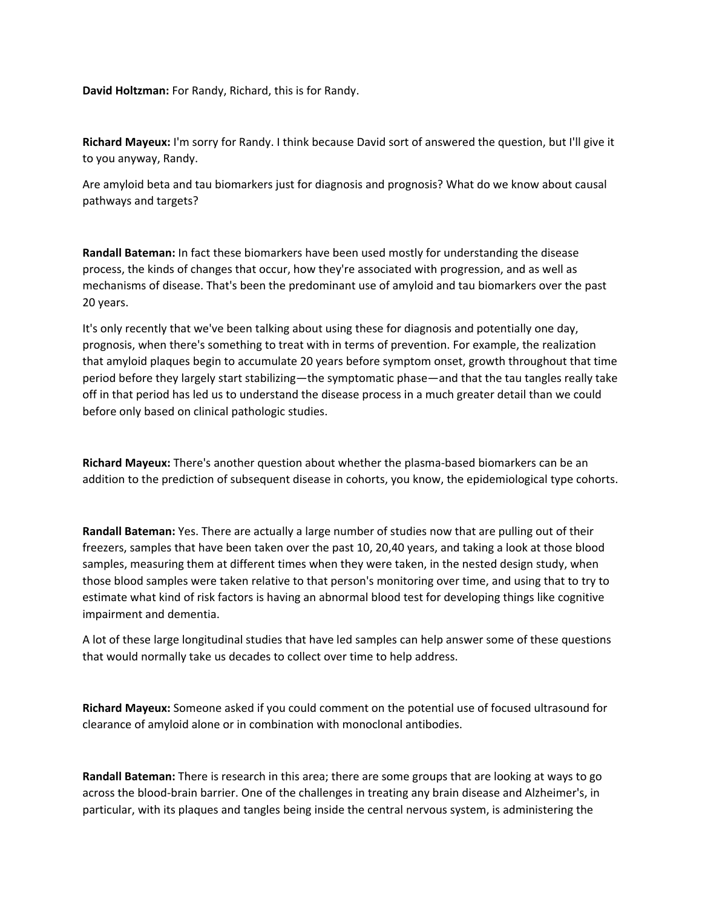**David Holtzman:** For Randy, Richard, this is for Randy.

**Richard Mayeux:** I'm sorry for Randy. I think because David sort of answered the question, but I'll give it to you anyway, Randy.

Are amyloid beta and tau biomarkers just for diagnosis and prognosis? What do we know about causal pathways and targets?

**Randall Bateman:** In fact these biomarkers have been used mostly for understanding the disease process, the kinds of changes that occur, how they're associated with progression, and as well as mechanisms of disease. That's been the predominant use of amyloid and tau biomarkers over the past 20 years.

It's only recently that we've been talking about using these for diagnosis and potentially one day, prognosis, when there's something to treat with in terms of prevention. For example, the realization that amyloid plaques begin to accumulate 20 years before symptom onset, growth throughout that time period before they largely start stabilizing—the symptomatic phase—and that the tau tangles really take off in that period has led us to understand the disease process in a much greater detail than we could before only based on clinical pathologic studies.

**Richard Mayeux:** There's another question about whether the plasma‐based biomarkers can be an addition to the prediction of subsequent disease in cohorts, you know, the epidemiological type cohorts.

**Randall Bateman:** Yes. There are actually a large number of studies now that are pulling out of their freezers, samples that have been taken over the past 10, 20,40 years, and taking a look at those blood samples, measuring them at different times when they were taken, in the nested design study, when those blood samples were taken relative to that person's monitoring over time, and using that to try to estimate what kind of risk factors is having an abnormal blood test for developing things like cognitive impairment and dementia.

A lot of these large longitudinal studies that have led samples can help answer some of these questions that would normally take us decades to collect over time to help address.

**Richard Mayeux:** Someone asked if you could comment on the potential use of focused ultrasound for clearance of amyloid alone or in combination with monoclonal antibodies.

**Randall Bateman:** There is research in this area; there are some groups that are looking at ways to go across the blood‐brain barrier. One of the challenges in treating any brain disease and Alzheimer's, in particular, with its plaques and tangles being inside the central nervous system, is administering the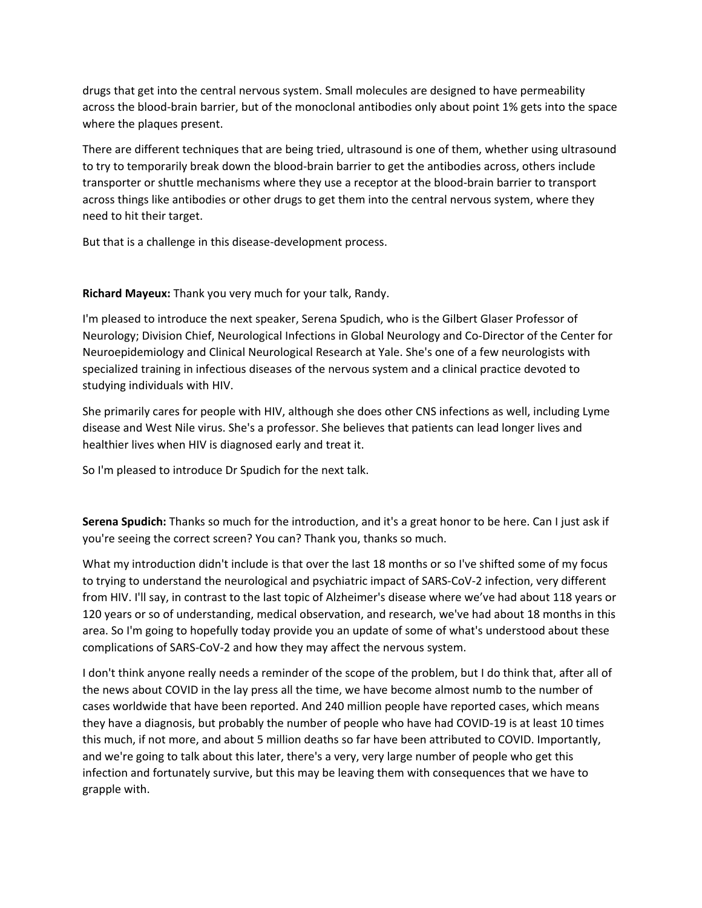drugs that get into the central nervous system. Small molecules are designed to have permeability across the blood‐brain barrier, but of the monoclonal antibodies only about point 1% gets into the space where the plaques present.

There are different techniques that are being tried, ultrasound is one of them, whether using ultrasound to try to temporarily break down the blood‐brain barrier to get the antibodies across, others include transporter or shuttle mechanisms where they use a receptor at the blood‐brain barrier to transport across things like antibodies or other drugs to get them into the central nervous system, where they need to hit their target.

But that is a challenge in this disease‐development process.

## **Richard Mayeux:** Thank you very much for your talk, Randy.

I'm pleased to introduce the next speaker, Serena Spudich, who is the Gilbert Glaser Professor of Neurology; Division Chief, Neurological Infections in Global Neurology and Co‐Director of the Center for Neuroepidemiology and Clinical Neurological Research at Yale. She's one of a few neurologists with specialized training in infectious diseases of the nervous system and a clinical practice devoted to studying individuals with HIV.

She primarily cares for people with HIV, although she does other CNS infections as well, including Lyme disease and West Nile virus. She's a professor. She believes that patients can lead longer lives and healthier lives when HIV is diagnosed early and treat it.

So I'm pleased to introduce Dr Spudich for the next talk.

**Serena Spudich:** Thanks so much for the introduction, and it's a great honor to be here. Can I just ask if you're seeing the correct screen? You can? Thank you, thanks so much.

What my introduction didn't include is that over the last 18 months or so I've shifted some of my focus to trying to understand the neurological and psychiatric impact of SARS‐CoV‐2 infection, very different from HIV. I'll say, in contrast to the last topic of Alzheimer's disease where we've had about 118 years or 120 years or so of understanding, medical observation, and research, we've had about 18 months in this area. So I'm going to hopefully today provide you an update of some of what's understood about these complications of SARS‐CoV‐2 and how they may affect the nervous system.

I don't think anyone really needs a reminder of the scope of the problem, but I do think that, after all of the news about COVID in the lay press all the time, we have become almost numb to the number of cases worldwide that have been reported. And 240 million people have reported cases, which means they have a diagnosis, but probably the number of people who have had COVID‐19 is at least 10 times this much, if not more, and about 5 million deaths so far have been attributed to COVID. Importantly, and we're going to talk about this later, there's a very, very large number of people who get this infection and fortunately survive, but this may be leaving them with consequences that we have to grapple with.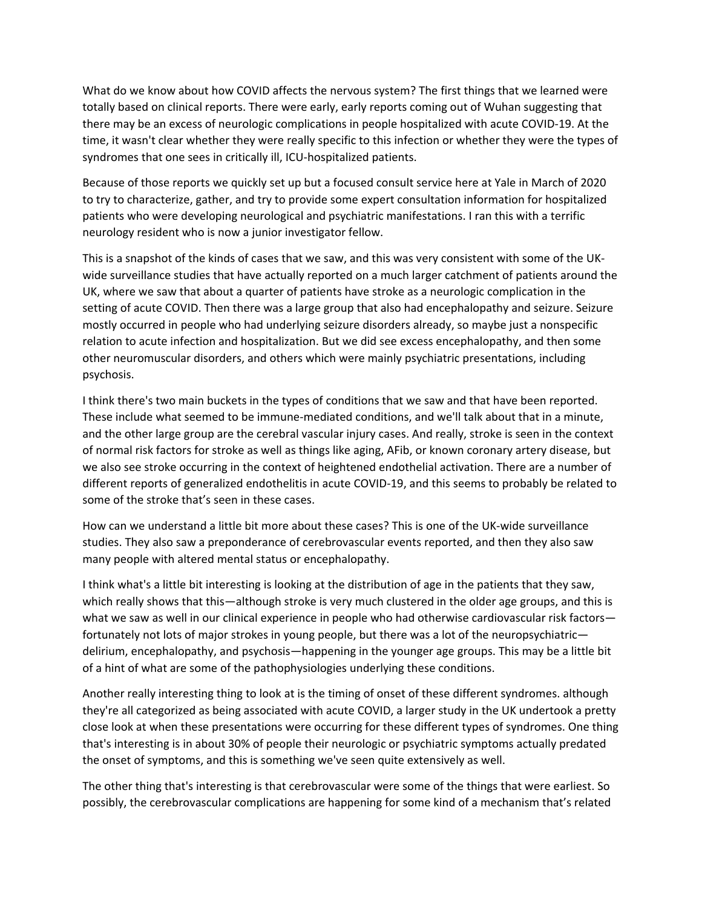What do we know about how COVID affects the nervous system? The first things that we learned were totally based on clinical reports. There were early, early reports coming out of Wuhan suggesting that there may be an excess of neurologic complications in people hospitalized with acute COVID‐19. At the time, it wasn't clear whether they were really specific to this infection or whether they were the types of syndromes that one sees in critically ill, ICU-hospitalized patients.

Because of those reports we quickly set up but a focused consult service here at Yale in March of 2020 to try to characterize, gather, and try to provide some expert consultation information for hospitalized patients who were developing neurological and psychiatric manifestations. I ran this with a terrific neurology resident who is now a junior investigator fellow.

This is a snapshot of the kinds of cases that we saw, and this was very consistent with some of the UK‐ wide surveillance studies that have actually reported on a much larger catchment of patients around the UK, where we saw that about a quarter of patients have stroke as a neurologic complication in the setting of acute COVID. Then there was a large group that also had encephalopathy and seizure. Seizure mostly occurred in people who had underlying seizure disorders already, so maybe just a nonspecific relation to acute infection and hospitalization. But we did see excess encephalopathy, and then some other neuromuscular disorders, and others which were mainly psychiatric presentations, including psychosis.

I think there's two main buckets in the types of conditions that we saw and that have been reported. These include what seemed to be immune‐mediated conditions, and we'll talk about that in a minute, and the other large group are the cerebral vascular injury cases. And really, stroke is seen in the context of normal risk factors for stroke as well as things like aging, AFib, or known coronary artery disease, but we also see stroke occurring in the context of heightened endothelial activation. There are a number of different reports of generalized endothelitis in acute COVID‐19, and this seems to probably be related to some of the stroke that's seen in these cases.

How can we understand a little bit more about these cases? This is one of the UK‐wide surveillance studies. They also saw a preponderance of cerebrovascular events reported, and then they also saw many people with altered mental status or encephalopathy.

I think what's a little bit interesting is looking at the distribution of age in the patients that they saw, which really shows that this—although stroke is very much clustered in the older age groups, and this is what we saw as well in our clinical experience in people who had otherwise cardiovascular risk factors fortunately not lots of major strokes in young people, but there was a lot of the neuropsychiatric delirium, encephalopathy, and psychosis—happening in the younger age groups. This may be a little bit of a hint of what are some of the pathophysiologies underlying these conditions.

Another really interesting thing to look at is the timing of onset of these different syndromes. although they're all categorized as being associated with acute COVID, a larger study in the UK undertook a pretty close look at when these presentations were occurring for these different types of syndromes. One thing that's interesting is in about 30% of people their neurologic or psychiatric symptoms actually predated the onset of symptoms, and this is something we've seen quite extensively as well.

The other thing that's interesting is that cerebrovascular were some of the things that were earliest. So possibly, the cerebrovascular complications are happening for some kind of a mechanism that's related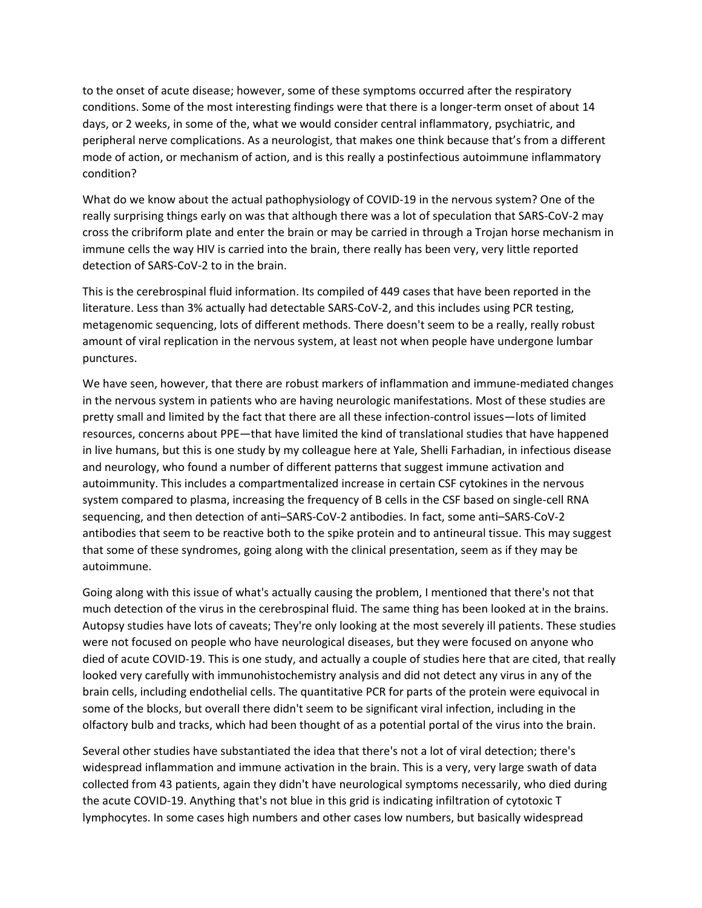to the onset of acute disease; however, some of these symptoms occurred after the respiratory conditions. Some of the most interesting findings were that there is a longer-term onset of about 14 days, or 2 weeks, in some of the, what we would consider central inflammatory, psychiatric, and peripheral nerve complications. As a neurologist, that makes one think because that's from a different mode of action, or mechanism of action, and is this really a postinfectious autoimmune inflammatory condition?

What do we know about the actual pathophysiology of COVID‐19 in the nervous system? One of the really surprising things early on was that although there was a lot of speculation that SARS‐CoV‐2 may cross the cribriform plate and enter the brain or may be carried in through a Trojan horse mechanism in immune cells the way HIV is carried into the brain, there really has been very, very little reported detection of SARS‐CoV‐2 to in the brain.

This is the cerebrospinal fluid information. Its compiled of 449 cases that have been reported in the literature. Less than 3% actually had detectable SARS‐CoV‐2, and this includes using PCR testing, metagenomic sequencing, lots of different methods. There doesn't seem to be a really, really robust amount of viral replication in the nervous system, at least not when people have undergone lumbar punctures.

We have seen, however, that there are robust markers of inflammation and immune-mediated changes in the nervous system in patients who are having neurologic manifestations. Most of these studies are pretty small and limited by the fact that there are all these infection‐control issues—lots of limited resources, concerns about PPE—that have limited the kind of translational studies that have happened in live humans, but this is one study by my colleague here at Yale, Shelli Farhadian, in infectious disease and neurology, who found a number of different patterns that suggest immune activation and autoimmunity. This includes a compartmentalized increase in certain CSF cytokines in the nervous system compared to plasma, increasing the frequency of B cells in the CSF based on single-cell RNA sequencing, and then detection of anti–SARS‐CoV‐2 antibodies. In fact, some anti–SARS‐CoV‐2 antibodies that seem to be reactive both to the spike protein and to antineural tissue. This may suggest that some of these syndromes, going along with the clinical presentation, seem as if they may be autoimmune.

Going along with this issue of what's actually causing the problem, I mentioned that there's not that much detection of the virus in the cerebrospinal fluid. The same thing has been looked at in the brains. Autopsy studies have lots of caveats; They're only looking at the most severely ill patients. These studies were not focused on people who have neurological diseases, but they were focused on anyone who died of acute COVID‐19. This is one study, and actually a couple of studies here that are cited, that really looked very carefully with immunohistochemistry analysis and did not detect any virus in any of the brain cells, including endothelial cells. The quantitative PCR for parts of the protein were equivocal in some of the blocks, but overall there didn't seem to be significant viral infection, including in the olfactory bulb and tracks, which had been thought of as a potential portal of the virus into the brain.

Several other studies have substantiated the idea that there's not a lot of viral detection; there's widespread inflammation and immune activation in the brain. This is a very, very large swath of data collected from 43 patients, again they didn't have neurological symptoms necessarily, who died during the acute COVID‐19. Anything that's not blue in this grid is indicating infiltration of cytotoxic T lymphocytes. In some cases high numbers and other cases low numbers, but basically widespread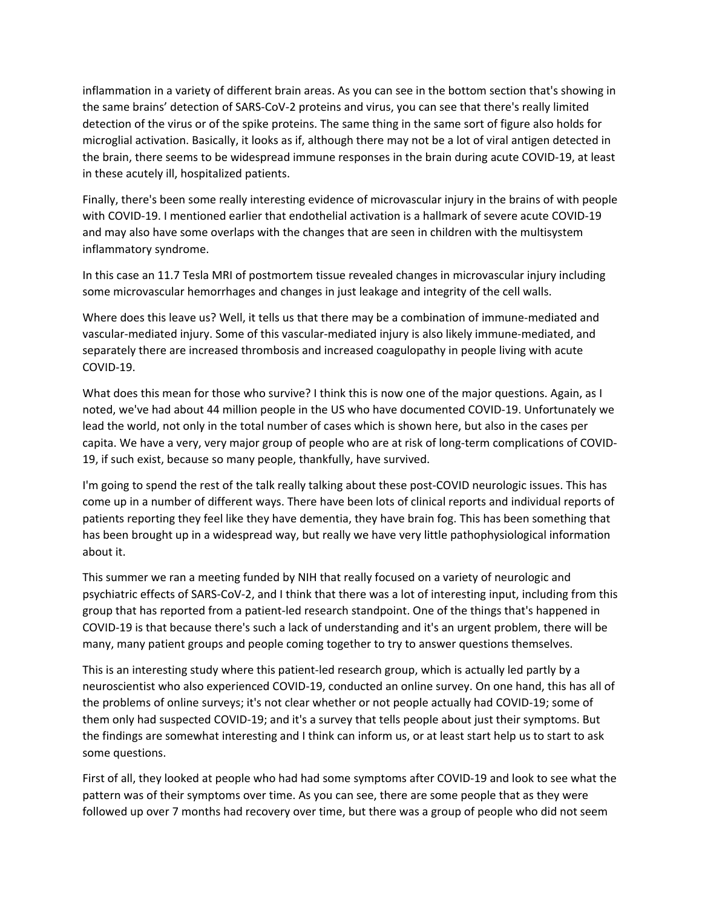inflammation in a variety of different brain areas. As you can see in the bottom section that's showing in the same brains' detection of SARS‐CoV‐2 proteins and virus, you can see that there's really limited detection of the virus or of the spike proteins. The same thing in the same sort of figure also holds for microglial activation. Basically, it looks as if, although there may not be a lot of viral antigen detected in the brain, there seems to be widespread immune responses in the brain during acute COVID‐19, at least in these acutely ill, hospitalized patients.

Finally, there's been some really interesting evidence of microvascular injury in the brains of with people with COVID-19. I mentioned earlier that endothelial activation is a hallmark of severe acute COVID-19 and may also have some overlaps with the changes that are seen in children with the multisystem inflammatory syndrome.

In this case an 11.7 Tesla MRI of postmortem tissue revealed changes in microvascular injury including some microvascular hemorrhages and changes in just leakage and integrity of the cell walls.

Where does this leave us? Well, it tells us that there may be a combination of immune-mediated and vascular‐mediated injury. Some of this vascular‐mediated injury is also likely immune‐mediated, and separately there are increased thrombosis and increased coagulopathy in people living with acute COVID‐19.

What does this mean for those who survive? I think this is now one of the major questions. Again, as I noted, we've had about 44 million people in the US who have documented COVID‐19. Unfortunately we lead the world, not only in the total number of cases which is shown here, but also in the cases per capita. We have a very, very major group of people who are at risk of long‐term complications of COVID‐ 19, if such exist, because so many people, thankfully, have survived.

I'm going to spend the rest of the talk really talking about these post‐COVID neurologic issues. This has come up in a number of different ways. There have been lots of clinical reports and individual reports of patients reporting they feel like they have dementia, they have brain fog. This has been something that has been brought up in a widespread way, but really we have very little pathophysiological information about it.

This summer we ran a meeting funded by NIH that really focused on a variety of neurologic and psychiatric effects of SARS‐CoV‐2, and I think that there was a lot of interesting input, including from this group that has reported from a patient‐led research standpoint. One of the things that's happened in COVID‐19 is that because there's such a lack of understanding and it's an urgent problem, there will be many, many patient groups and people coming together to try to answer questions themselves.

This is an interesting study where this patient‐led research group, which is actually led partly by a neuroscientist who also experienced COVID‐19, conducted an online survey. On one hand, this has all of the problems of online surveys; it's not clear whether or not people actually had COVID‐19; some of them only had suspected COVID‐19; and it's a survey that tells people about just their symptoms. But the findings are somewhat interesting and I think can inform us, or at least start help us to start to ask some questions.

First of all, they looked at people who had had some symptoms after COVID‐19 and look to see what the pattern was of their symptoms over time. As you can see, there are some people that as they were followed up over 7 months had recovery over time, but there was a group of people who did not seem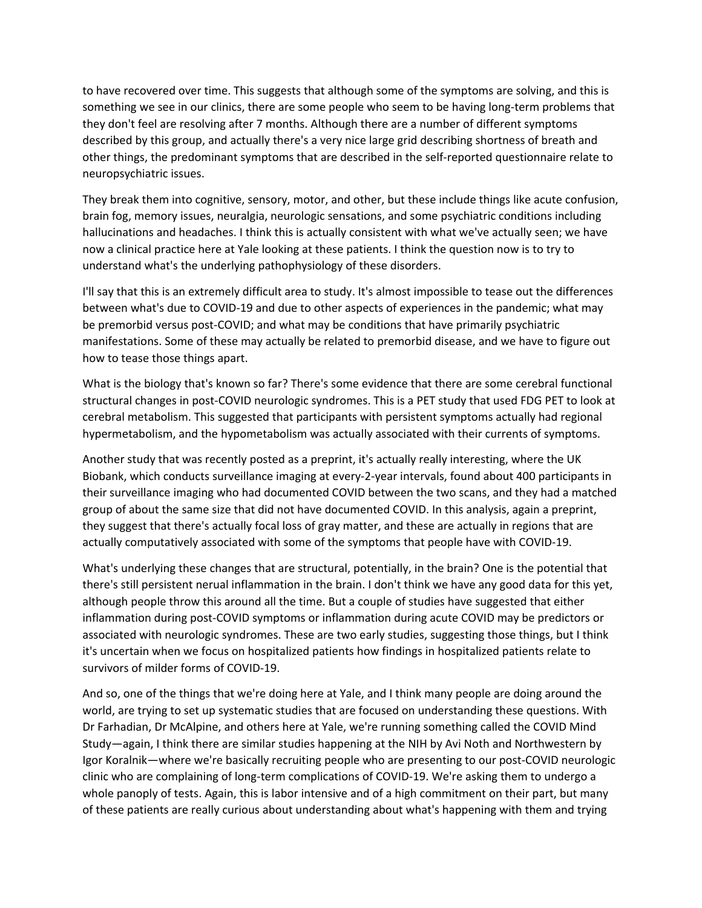to have recovered over time. This suggests that although some of the symptoms are solving, and this is something we see in our clinics, there are some people who seem to be having long-term problems that they don't feel are resolving after 7 months. Although there are a number of different symptoms described by this group, and actually there's a very nice large grid describing shortness of breath and other things, the predominant symptoms that are described in the self‐reported questionnaire relate to neuropsychiatric issues.

They break them into cognitive, sensory, motor, and other, but these include things like acute confusion, brain fog, memory issues, neuralgia, neurologic sensations, and some psychiatric conditions including hallucinations and headaches. I think this is actually consistent with what we've actually seen; we have now a clinical practice here at Yale looking at these patients. I think the question now is to try to understand what's the underlying pathophysiology of these disorders.

I'll say that this is an extremely difficult area to study. It's almost impossible to tease out the differences between what's due to COVID‐19 and due to other aspects of experiences in the pandemic; what may be premorbid versus post-COVID; and what may be conditions that have primarily psychiatric manifestations. Some of these may actually be related to premorbid disease, and we have to figure out how to tease those things apart.

What is the biology that's known so far? There's some evidence that there are some cerebral functional structural changes in post‐COVID neurologic syndromes. This is a PET study that used FDG PET to look at cerebral metabolism. This suggested that participants with persistent symptoms actually had regional hypermetabolism, and the hypometabolism was actually associated with their currents of symptoms.

Another study that was recently posted as a preprint, it's actually really interesting, where the UK Biobank, which conducts surveillance imaging at every‐2‐year intervals, found about 400 participants in their surveillance imaging who had documented COVID between the two scans, and they had a matched group of about the same size that did not have documented COVID. In this analysis, again a preprint, they suggest that there's actually focal loss of gray matter, and these are actually in regions that are actually computatively associated with some of the symptoms that people have with COVID‐19.

What's underlying these changes that are structural, potentially, in the brain? One is the potential that there's still persistent nerual inflammation in the brain. I don't think we have any good data for this yet, although people throw this around all the time. But a couple of studies have suggested that either inflammation during post-COVID symptoms or inflammation during acute COVID may be predictors or associated with neurologic syndromes. These are two early studies, suggesting those things, but I think it's uncertain when we focus on hospitalized patients how findings in hospitalized patients relate to survivors of milder forms of COVID‐19.

And so, one of the things that we're doing here at Yale, and I think many people are doing around the world, are trying to set up systematic studies that are focused on understanding these questions. With Dr Farhadian, Dr McAlpine, and others here at Yale, we're running something called the COVID Mind Study—again, I think there are similar studies happening at the NIH by Avi Noth and Northwestern by Igor Koralnik—where we're basically recruiting people who are presenting to our post-COVID neurologic clinic who are complaining of long‐term complications of COVID‐19. We're asking them to undergo a whole panoply of tests. Again, this is labor intensive and of a high commitment on their part, but many of these patients are really curious about understanding about what's happening with them and trying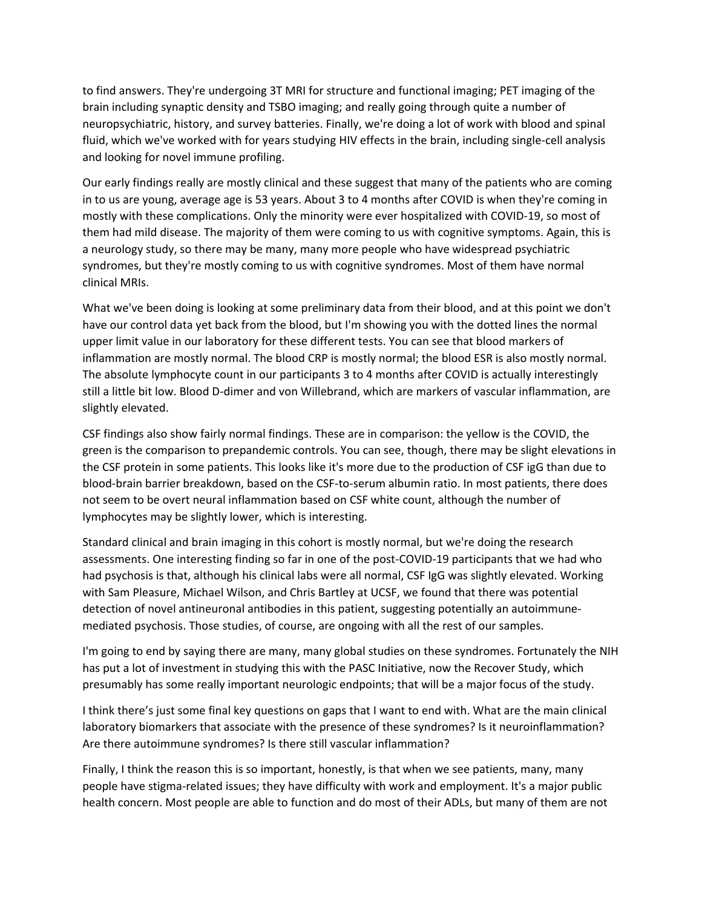to find answers. They're undergoing 3T MRI for structure and functional imaging; PET imaging of the brain including synaptic density and TSBO imaging; and really going through quite a number of neuropsychiatric, history, and survey batteries. Finally, we're doing a lot of work with blood and spinal fluid, which we've worked with for years studying HIV effects in the brain, including single‐cell analysis and looking for novel immune profiling.

Our early findings really are mostly clinical and these suggest that many of the patients who are coming in to us are young, average age is 53 years. About 3 to 4 months after COVID is when they're coming in mostly with these complications. Only the minority were ever hospitalized with COVID‐19, so most of them had mild disease. The majority of them were coming to us with cognitive symptoms. Again, this is a neurology study, so there may be many, many more people who have widespread psychiatric syndromes, but they're mostly coming to us with cognitive syndromes. Most of them have normal clinical MRIs.

What we've been doing is looking at some preliminary data from their blood, and at this point we don't have our control data yet back from the blood, but I'm showing you with the dotted lines the normal upper limit value in our laboratory for these different tests. You can see that blood markers of inflammation are mostly normal. The blood CRP is mostly normal; the blood ESR is also mostly normal. The absolute lymphocyte count in our participants 3 to 4 months after COVID is actually interestingly still a little bit low. Blood D‐dimer and von Willebrand, which are markers of vascular inflammation, are slightly elevated.

CSF findings also show fairly normal findings. These are in comparison: the yellow is the COVID, the green is the comparison to prepandemic controls. You can see, though, there may be slight elevations in the CSF protein in some patients. This looks like it's more due to the production of CSF igG than due to blood‐brain barrier breakdown, based on the CSF‐to‐serum albumin ratio. In most patients, there does not seem to be overt neural inflammation based on CSF white count, although the number of lymphocytes may be slightly lower, which is interesting.

Standard clinical and brain imaging in this cohort is mostly normal, but we're doing the research assessments. One interesting finding so far in one of the post‐COVID‐19 participants that we had who had psychosis is that, although his clinical labs were all normal, CSF IgG was slightly elevated. Working with Sam Pleasure, Michael Wilson, and Chris Bartley at UCSF, we found that there was potential detection of novel antineuronal antibodies in this patient, suggesting potentially an autoimmune‐ mediated psychosis. Those studies, of course, are ongoing with all the rest of our samples.

I'm going to end by saying there are many, many global studies on these syndromes. Fortunately the NIH has put a lot of investment in studying this with the PASC Initiative, now the Recover Study, which presumably has some really important neurologic endpoints; that will be a major focus of the study.

I think there's just some final key questions on gaps that I want to end with. What are the main clinical laboratory biomarkers that associate with the presence of these syndromes? Is it neuroinflammation? Are there autoimmune syndromes? Is there still vascular inflammation?

Finally, I think the reason this is so important, honestly, is that when we see patients, many, many people have stigma‐related issues; they have difficulty with work and employment. It's a major public health concern. Most people are able to function and do most of their ADLs, but many of them are not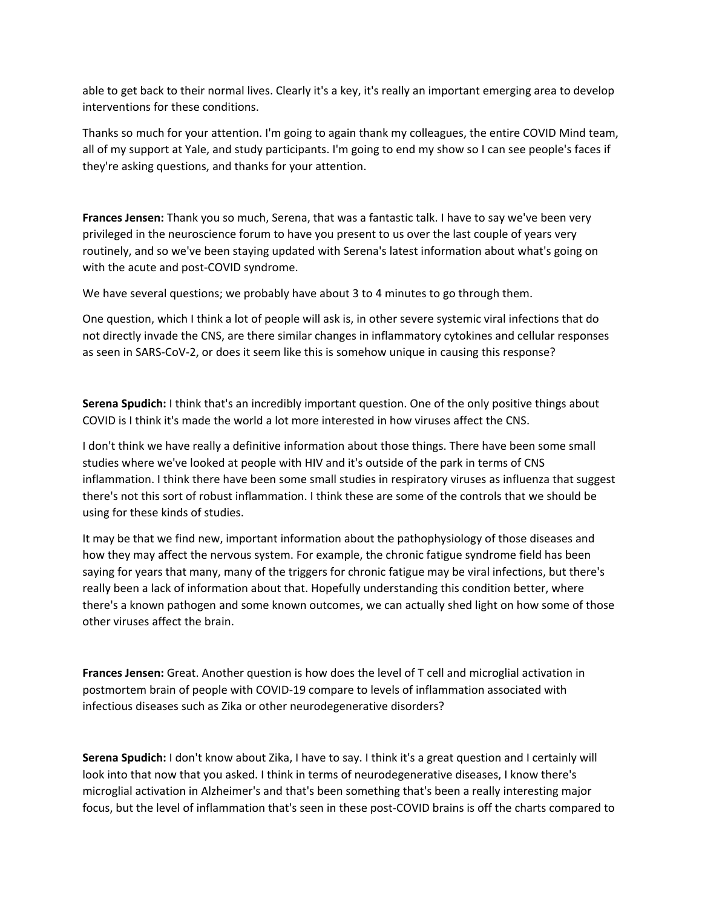able to get back to their normal lives. Clearly it's a key, it's really an important emerging area to develop interventions for these conditions.

Thanks so much for your attention. I'm going to again thank my colleagues, the entire COVID Mind team, all of my support at Yale, and study participants. I'm going to end my show so I can see people's faces if they're asking questions, and thanks for your attention.

**Frances Jensen:** Thank you so much, Serena, that was a fantastic talk. I have to say we've been very privileged in the neuroscience forum to have you present to us over the last couple of years very routinely, and so we've been staying updated with Serena's latest information about what's going on with the acute and post-COVID syndrome.

We have several questions; we probably have about 3 to 4 minutes to go through them.

One question, which I think a lot of people will ask is, in other severe systemic viral infections that do not directly invade the CNS, are there similar changes in inflammatory cytokines and cellular responses as seen in SARS‐CoV‐2, or does it seem like this is somehow unique in causing this response?

**Serena Spudich:** I think that's an incredibly important question. One of the only positive things about COVID is I think it's made the world a lot more interested in how viruses affect the CNS.

I don't think we have really a definitive information about those things. There have been some small studies where we've looked at people with HIV and it's outside of the park in terms of CNS inflammation. I think there have been some small studies in respiratory viruses as influenza that suggest there's not this sort of robust inflammation. I think these are some of the controls that we should be using for these kinds of studies.

It may be that we find new, important information about the pathophysiology of those diseases and how they may affect the nervous system. For example, the chronic fatigue syndrome field has been saying for years that many, many of the triggers for chronic fatigue may be viral infections, but there's really been a lack of information about that. Hopefully understanding this condition better, where there's a known pathogen and some known outcomes, we can actually shed light on how some of those other viruses affect the brain.

**Frances Jensen:** Great. Another question is how does the level of T cell and microglial activation in postmortem brain of people with COVID‐19 compare to levels of inflammation associated with infectious diseases such as Zika or other neurodegenerative disorders?

**Serena Spudich:** I don't know about Zika, I have to say. I think it's a great question and I certainly will look into that now that you asked. I think in terms of neurodegenerative diseases, I know there's microglial activation in Alzheimer's and that's been something that's been a really interesting major focus, but the level of inflammation that's seen in these post-COVID brains is off the charts compared to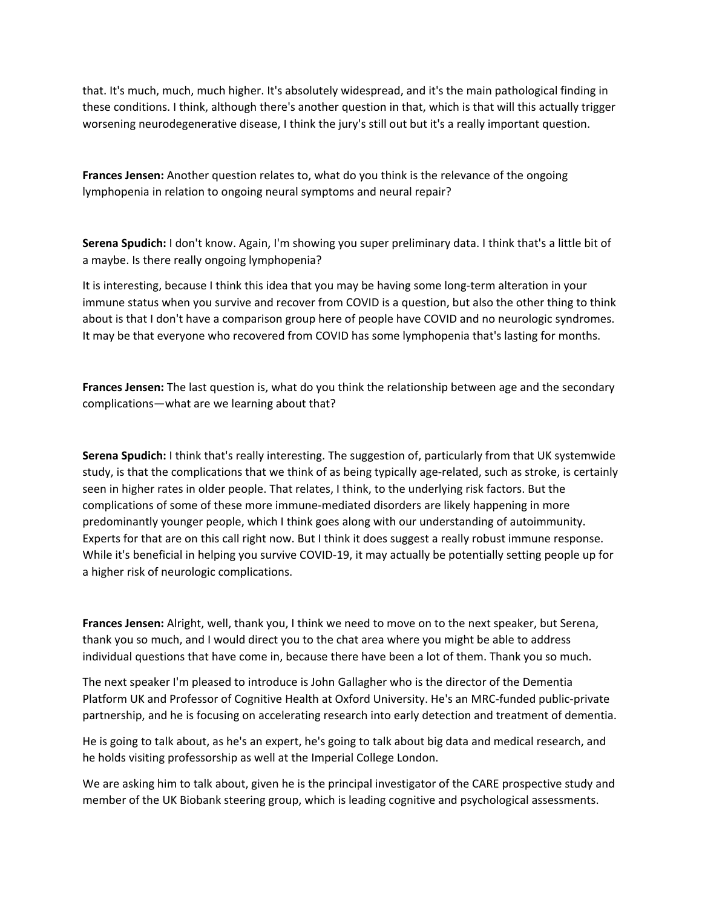that. It's much, much, much higher. It's absolutely widespread, and it's the main pathological finding in these conditions. I think, although there's another question in that, which is that will this actually trigger worsening neurodegenerative disease, I think the jury's still out but it's a really important question.

**Frances Jensen:** Another question relates to, what do you think is the relevance of the ongoing lymphopenia in relation to ongoing neural symptoms and neural repair?

**Serena Spudich:** I don't know. Again, I'm showing you super preliminary data. I think that's a little bit of a maybe. Is there really ongoing lymphopenia?

It is interesting, because I think this idea that you may be having some long-term alteration in your immune status when you survive and recover from COVID is a question, but also the other thing to think about is that I don't have a comparison group here of people have COVID and no neurologic syndromes. It may be that everyone who recovered from COVID has some lymphopenia that's lasting for months.

**Frances Jensen:** The last question is, what do you think the relationship between age and the secondary complications—what are we learning about that?

**Serena Spudich:** I think that's really interesting. The suggestion of, particularly from that UK systemwide study, is that the complications that we think of as being typically age-related, such as stroke, is certainly seen in higher rates in older people. That relates, I think, to the underlying risk factors. But the complications of some of these more immune‐mediated disorders are likely happening in more predominantly younger people, which I think goes along with our understanding of autoimmunity. Experts for that are on this call right now. But I think it does suggest a really robust immune response. While it's beneficial in helping you survive COVID-19, it may actually be potentially setting people up for a higher risk of neurologic complications.

**Frances Jensen:** Alright, well, thank you, I think we need to move on to the next speaker, but Serena, thank you so much, and I would direct you to the chat area where you might be able to address individual questions that have come in, because there have been a lot of them. Thank you so much.

The next speaker I'm pleased to introduce is John Gallagher who is the director of the Dementia Platform UK and Professor of Cognitive Health at Oxford University. He's an MRC‐funded public‐private partnership, and he is focusing on accelerating research into early detection and treatment of dementia.

He is going to talk about, as he's an expert, he's going to talk about big data and medical research, and he holds visiting professorship as well at the Imperial College London.

We are asking him to talk about, given he is the principal investigator of the CARE prospective study and member of the UK Biobank steering group, which is leading cognitive and psychological assessments.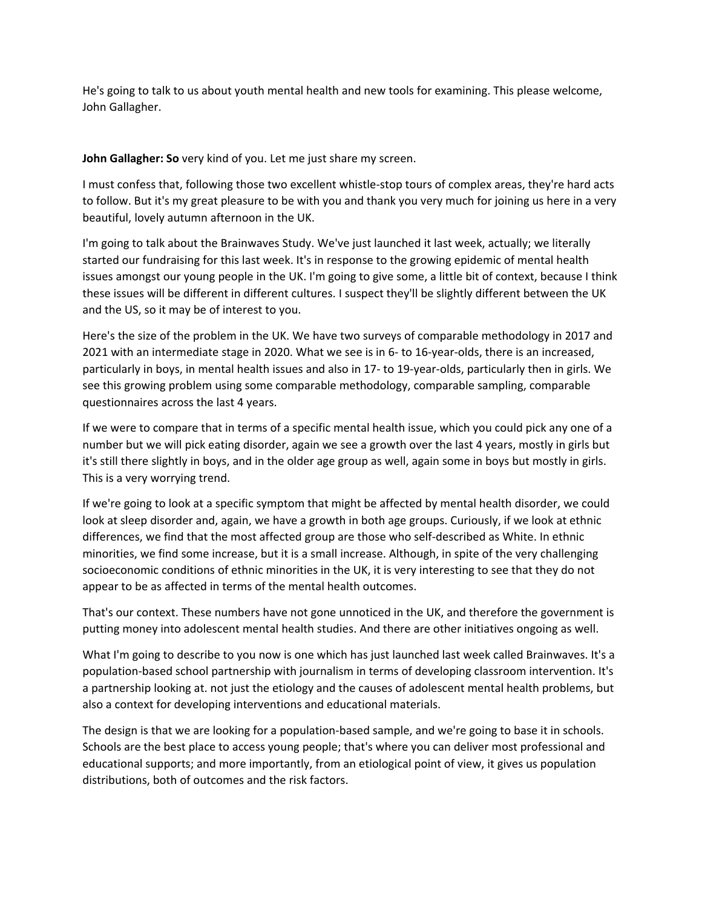He's going to talk to us about youth mental health and new tools for examining. This please welcome, John Gallagher.

**John Gallagher: So** very kind of you. Let me just share my screen.

I must confess that, following those two excellent whistle‐stop tours of complex areas, they're hard acts to follow. But it's my great pleasure to be with you and thank you very much for joining us here in a very beautiful, lovely autumn afternoon in the UK.

I'm going to talk about the Brainwaves Study. We've just launched it last week, actually; we literally started our fundraising for this last week. It's in response to the growing epidemic of mental health issues amongst our young people in the UK. I'm going to give some, a little bit of context, because I think these issues will be different in different cultures. I suspect they'll be slightly different between the UK and the US, so it may be of interest to you.

Here's the size of the problem in the UK. We have two surveys of comparable methodology in 2017 and 2021 with an intermediate stage in 2020. What we see is in 6‐ to 16‐year‐olds, there is an increased, particularly in boys, in mental health issues and also in 17‐ to 19‐year‐olds, particularly then in girls. We see this growing problem using some comparable methodology, comparable sampling, comparable questionnaires across the last 4 years.

If we were to compare that in terms of a specific mental health issue, which you could pick any one of a number but we will pick eating disorder, again we see a growth over the last 4 years, mostly in girls but it's still there slightly in boys, and in the older age group as well, again some in boys but mostly in girls. This is a very worrying trend.

If we're going to look at a specific symptom that might be affected by mental health disorder, we could look at sleep disorder and, again, we have a growth in both age groups. Curiously, if we look at ethnic differences, we find that the most affected group are those who self‐described as White. In ethnic minorities, we find some increase, but it is a small increase. Although, in spite of the very challenging socioeconomic conditions of ethnic minorities in the UK, it is very interesting to see that they do not appear to be as affected in terms of the mental health outcomes.

That's our context. These numbers have not gone unnoticed in the UK, and therefore the government is putting money into adolescent mental health studies. And there are other initiatives ongoing as well.

What I'm going to describe to you now is one which has just launched last week called Brainwaves. It's a population‐based school partnership with journalism in terms of developing classroom intervention. It's a partnership looking at. not just the etiology and the causes of adolescent mental health problems, but also a context for developing interventions and educational materials.

The design is that we are looking for a population‐based sample, and we're going to base it in schools. Schools are the best place to access young people; that's where you can deliver most professional and educational supports; and more importantly, from an etiological point of view, it gives us population distributions, both of outcomes and the risk factors.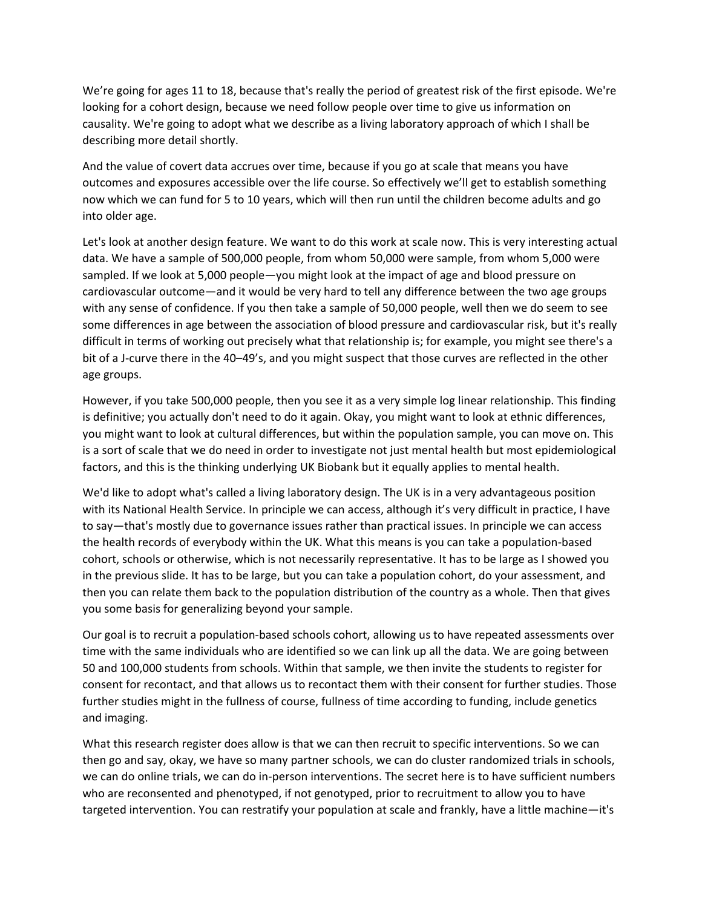We're going for ages 11 to 18, because that's really the period of greatest risk of the first episode. We're looking for a cohort design, because we need follow people over time to give us information on causality. We're going to adopt what we describe as a living laboratory approach of which I shall be describing more detail shortly.

And the value of covert data accrues over time, because if you go at scale that means you have outcomes and exposures accessible over the life course. So effectively we'll get to establish something now which we can fund for 5 to 10 years, which will then run until the children become adults and go into older age.

Let's look at another design feature. We want to do this work at scale now. This is very interesting actual data. We have a sample of 500,000 people, from whom 50,000 were sample, from whom 5,000 were sampled. If we look at 5,000 people—you might look at the impact of age and blood pressure on cardiovascular outcome—and it would be very hard to tell any difference between the two age groups with any sense of confidence. If you then take a sample of 50,000 people, well then we do seem to see some differences in age between the association of blood pressure and cardiovascular risk, but it's really difficult in terms of working out precisely what that relationship is; for example, you might see there's a bit of a J-curve there in the 40–49's, and you might suspect that those curves are reflected in the other age groups.

However, if you take 500,000 people, then you see it as a very simple log linear relationship. This finding is definitive; you actually don't need to do it again. Okay, you might want to look at ethnic differences, you might want to look at cultural differences, but within the population sample, you can move on. This is a sort of scale that we do need in order to investigate not just mental health but most epidemiological factors, and this is the thinking underlying UK Biobank but it equally applies to mental health.

We'd like to adopt what's called a living laboratory design. The UK is in a very advantageous position with its National Health Service. In principle we can access, although it's very difficult in practice, I have to say—that's mostly due to governance issues rather than practical issues. In principle we can access the health records of everybody within the UK. What this means is you can take a population‐based cohort, schools or otherwise, which is not necessarily representative. It has to be large as I showed you in the previous slide. It has to be large, but you can take a population cohort, do your assessment, and then you can relate them back to the population distribution of the country as a whole. Then that gives you some basis for generalizing beyond your sample.

Our goal is to recruit a population‐based schools cohort, allowing us to have repeated assessments over time with the same individuals who are identified so we can link up all the data. We are going between 50 and 100,000 students from schools. Within that sample, we then invite the students to register for consent for recontact, and that allows us to recontact them with their consent for further studies. Those further studies might in the fullness of course, fullness of time according to funding, include genetics and imaging.

What this research register does allow is that we can then recruit to specific interventions. So we can then go and say, okay, we have so many partner schools, we can do cluster randomized trials in schools, we can do online trials, we can do in-person interventions. The secret here is to have sufficient numbers who are reconsented and phenotyped, if not genotyped, prior to recruitment to allow you to have targeted intervention. You can restratify your population at scale and frankly, have a little machine—it's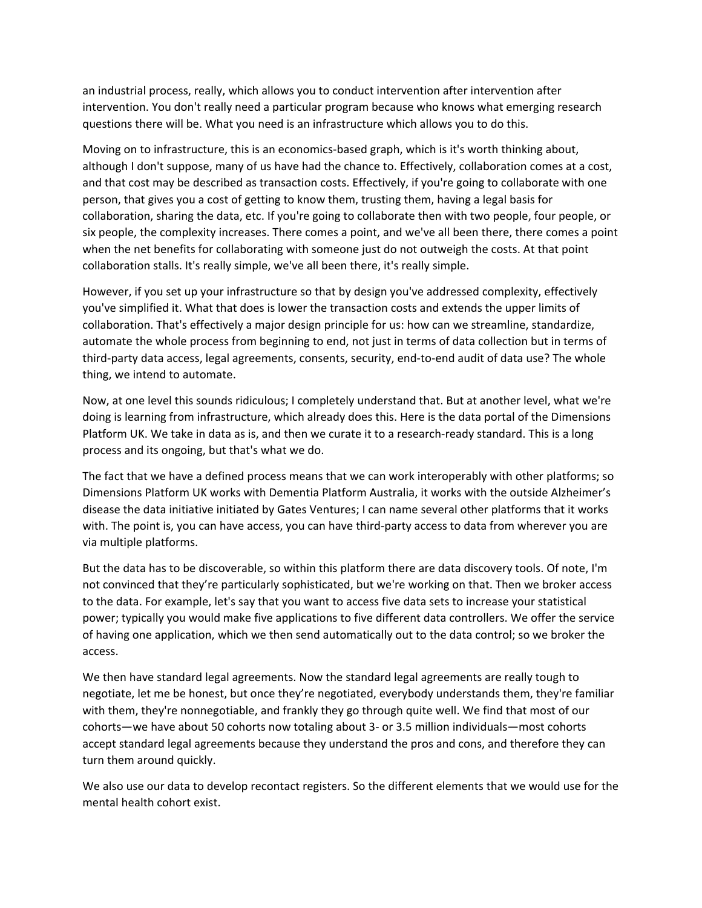an industrial process, really, which allows you to conduct intervention after intervention after intervention. You don't really need a particular program because who knows what emerging research questions there will be. What you need is an infrastructure which allows you to do this.

Moving on to infrastructure, this is an economics-based graph, which is it's worth thinking about, although I don't suppose, many of us have had the chance to. Effectively, collaboration comes at a cost, and that cost may be described as transaction costs. Effectively, if you're going to collaborate with one person, that gives you a cost of getting to know them, trusting them, having a legal basis for collaboration, sharing the data, etc. If you're going to collaborate then with two people, four people, or six people, the complexity increases. There comes a point, and we've all been there, there comes a point when the net benefits for collaborating with someone just do not outweigh the costs. At that point collaboration stalls. It's really simple, we've all been there, it's really simple.

However, if you set up your infrastructure so that by design you've addressed complexity, effectively you've simplified it. What that does is lower the transaction costs and extends the upper limits of collaboration. That's effectively a major design principle for us: how can we streamline, standardize, automate the whole process from beginning to end, not just in terms of data collection but in terms of third-party data access, legal agreements, consents, security, end-to-end audit of data use? The whole thing, we intend to automate.

Now, at one level this sounds ridiculous; I completely understand that. But at another level, what we're doing is learning from infrastructure, which already does this. Here is the data portal of the Dimensions Platform UK. We take in data as is, and then we curate it to a research-ready standard. This is a long process and its ongoing, but that's what we do.

The fact that we have a defined process means that we can work interoperably with other platforms; so Dimensions Platform UK works with Dementia Platform Australia, it works with the outside Alzheimer's disease the data initiative initiated by Gates Ventures; I can name several other platforms that it works with. The point is, you can have access, you can have third-party access to data from wherever you are via multiple platforms.

But the data has to be discoverable, so within this platform there are data discovery tools. Of note, I'm not convinced that they're particularly sophisticated, but we're working on that. Then we broker access to the data. For example, let's say that you want to access five data sets to increase your statistical power; typically you would make five applications to five different data controllers. We offer the service of having one application, which we then send automatically out to the data control; so we broker the access.

We then have standard legal agreements. Now the standard legal agreements are really tough to negotiate, let me be honest, but once they're negotiated, everybody understands them, they're familiar with them, they're nonnegotiable, and frankly they go through quite well. We find that most of our cohorts—we have about 50 cohorts now totaling about 3‐ or 3.5 million individuals—most cohorts accept standard legal agreements because they understand the pros and cons, and therefore they can turn them around quickly.

We also use our data to develop recontact registers. So the different elements that we would use for the mental health cohort exist.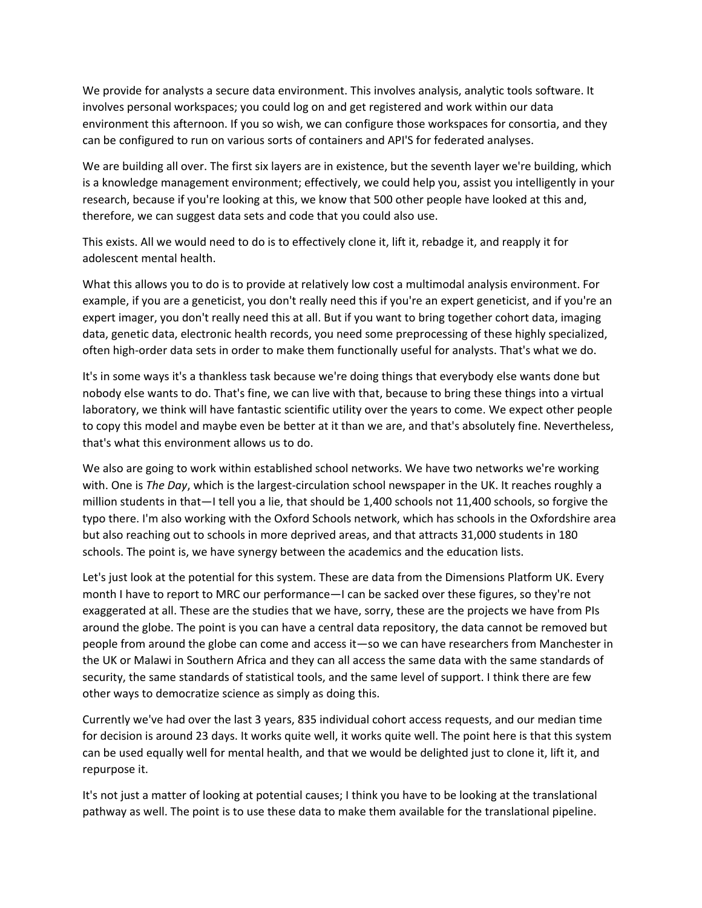We provide for analysts a secure data environment. This involves analysis, analytic tools software. It involves personal workspaces; you could log on and get registered and work within our data environment this afternoon. If you so wish, we can configure those workspaces for consortia, and they can be configured to run on various sorts of containers and API'S for federated analyses.

We are building all over. The first six layers are in existence, but the seventh layer we're building, which is a knowledge management environment; effectively, we could help you, assist you intelligently in your research, because if you're looking at this, we know that 500 other people have looked at this and, therefore, we can suggest data sets and code that you could also use.

This exists. All we would need to do is to effectively clone it, lift it, rebadge it, and reapply it for adolescent mental health.

What this allows you to do is to provide at relatively low cost a multimodal analysis environment. For example, if you are a geneticist, you don't really need this if you're an expert geneticist, and if you're an expert imager, you don't really need this at all. But if you want to bring together cohort data, imaging data, genetic data, electronic health records, you need some preprocessing of these highly specialized, often high‐order data sets in order to make them functionally useful for analysts. That's what we do.

It's in some ways it's a thankless task because we're doing things that everybody else wants done but nobody else wants to do. That's fine, we can live with that, because to bring these things into a virtual laboratory, we think will have fantastic scientific utility over the years to come. We expect other people to copy this model and maybe even be better at it than we are, and that's absolutely fine. Nevertheless, that's what this environment allows us to do.

We also are going to work within established school networks. We have two networks we're working with. One is *The Day*, which is the largest‐circulation school newspaper in the UK. It reaches roughly a million students in that—I tell you a lie, that should be 1,400 schools not 11,400 schools, so forgive the typo there. I'm also working with the Oxford Schools network, which has schools in the Oxfordshire area but also reaching out to schools in more deprived areas, and that attracts 31,000 students in 180 schools. The point is, we have synergy between the academics and the education lists.

Let's just look at the potential for this system. These are data from the Dimensions Platform UK. Every month I have to report to MRC our performance—I can be sacked over these figures, so they're not exaggerated at all. These are the studies that we have, sorry, these are the projects we have from PIs around the globe. The point is you can have a central data repository, the data cannot be removed but people from around the globe can come and access it—so we can have researchers from Manchester in the UK or Malawi in Southern Africa and they can all access the same data with the same standards of security, the same standards of statistical tools, and the same level of support. I think there are few other ways to democratize science as simply as doing this.

Currently we've had over the last 3 years, 835 individual cohort access requests, and our median time for decision is around 23 days. It works quite well, it works quite well. The point here is that this system can be used equally well for mental health, and that we would be delighted just to clone it, lift it, and repurpose it.

It's not just a matter of looking at potential causes; I think you have to be looking at the translational pathway as well. The point is to use these data to make them available for the translational pipeline.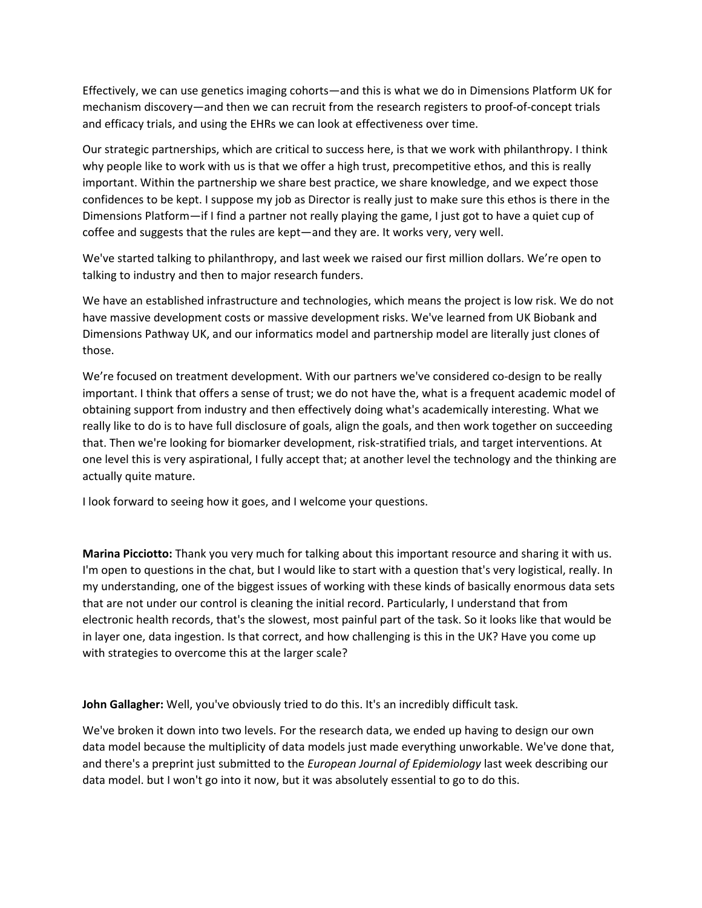Effectively, we can use genetics imaging cohorts—and this is what we do in Dimensions Platform UK for mechanism discovery—and then we can recruit from the research registers to proof-of-concept trials and efficacy trials, and using the EHRs we can look at effectiveness over time.

Our strategic partnerships, which are critical to success here, is that we work with philanthropy. I think why people like to work with us is that we offer a high trust, precompetitive ethos, and this is really important. Within the partnership we share best practice, we share knowledge, and we expect those confidences to be kept. I suppose my job as Director is really just to make sure this ethos is there in the Dimensions Platform—if I find a partner not really playing the game, I just got to have a quiet cup of coffee and suggests that the rules are kept—and they are. It works very, very well.

We've started talking to philanthropy, and last week we raised our first million dollars. We're open to talking to industry and then to major research funders.

We have an established infrastructure and technologies, which means the project is low risk. We do not have massive development costs or massive development risks. We've learned from UK Biobank and Dimensions Pathway UK, and our informatics model and partnership model are literally just clones of those.

We're focused on treatment development. With our partners we've considered co-design to be really important. I think that offers a sense of trust; we do not have the, what is a frequent academic model of obtaining support from industry and then effectively doing what's academically interesting. What we really like to do is to have full disclosure of goals, align the goals, and then work together on succeeding that. Then we're looking for biomarker development, risk‐stratified trials, and target interventions. At one level this is very aspirational, I fully accept that; at another level the technology and the thinking are actually quite mature.

I look forward to seeing how it goes, and I welcome your questions.

**Marina Picciotto:** Thank you very much for talking about this important resource and sharing it with us. I'm open to questions in the chat, but I would like to start with a question that's very logistical, really. In my understanding, one of the biggest issues of working with these kinds of basically enormous data sets that are not under our control is cleaning the initial record. Particularly, I understand that from electronic health records, that's the slowest, most painful part of the task. So it looks like that would be in layer one, data ingestion. Is that correct, and how challenging is this in the UK? Have you come up with strategies to overcome this at the larger scale?

**John Gallagher:** Well, you've obviously tried to do this. It's an incredibly difficult task.

We've broken it down into two levels. For the research data, we ended up having to design our own data model because the multiplicity of data models just made everything unworkable. We've done that, and there's a preprint just submitted to the *European Journal of Epidemiology* last week describing our data model. but I won't go into it now, but it was absolutely essential to go to do this.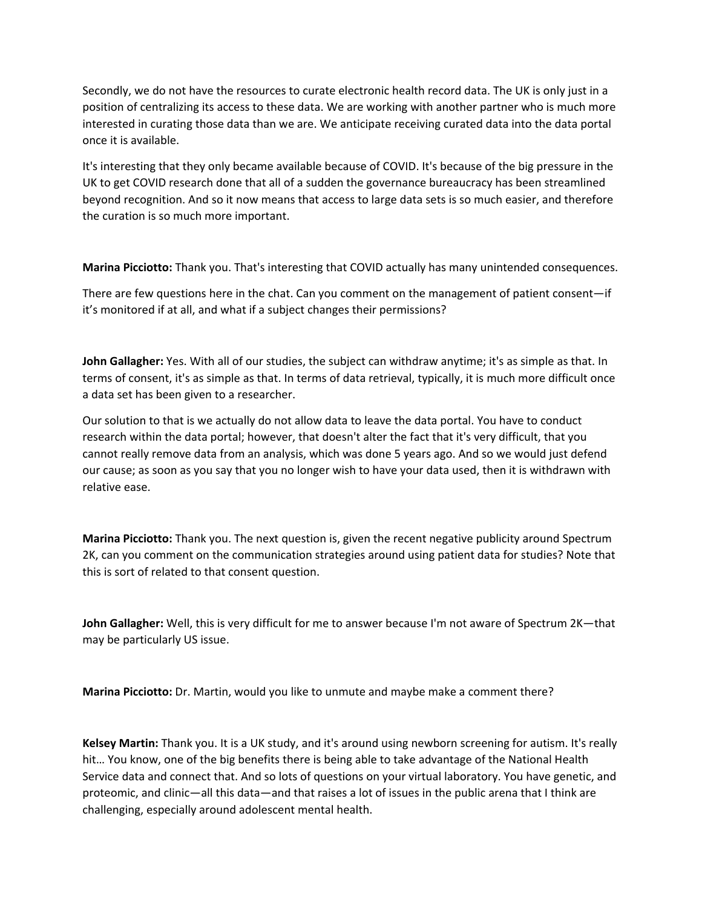Secondly, we do not have the resources to curate electronic health record data. The UK is only just in a position of centralizing its access to these data. We are working with another partner who is much more interested in curating those data than we are. We anticipate receiving curated data into the data portal once it is available.

It's interesting that they only became available because of COVID. It's because of the big pressure in the UK to get COVID research done that all of a sudden the governance bureaucracy has been streamlined beyond recognition. And so it now means that access to large data sets is so much easier, and therefore the curation is so much more important.

**Marina Picciotto:** Thank you. That's interesting that COVID actually has many unintended consequences.

There are few questions here in the chat. Can you comment on the management of patient consent—if it's monitored if at all, and what if a subject changes their permissions?

**John Gallagher:** Yes. With all of our studies, the subject can withdraw anytime; it's as simple as that. In terms of consent, it's as simple as that. In terms of data retrieval, typically, it is much more difficult once a data set has been given to a researcher.

Our solution to that is we actually do not allow data to leave the data portal. You have to conduct research within the data portal; however, that doesn't alter the fact that it's very difficult, that you cannot really remove data from an analysis, which was done 5 years ago. And so we would just defend our cause; as soon as you say that you no longer wish to have your data used, then it is withdrawn with relative ease.

**Marina Picciotto:** Thank you. The next question is, given the recent negative publicity around Spectrum 2K, can you comment on the communication strategies around using patient data for studies? Note that this is sort of related to that consent question.

**John Gallagher:** Well, this is very difficult for me to answer because I'm not aware of Spectrum 2K—that may be particularly US issue.

**Marina Picciotto:** Dr. Martin, would you like to unmute and maybe make a comment there?

**Kelsey Martin:** Thank you. It is a UK study, and it's around using newborn screening for autism. It's really hit… You know, one of the big benefits there is being able to take advantage of the National Health Service data and connect that. And so lots of questions on your virtual laboratory. You have genetic, and proteomic, and clinic—all this data—and that raises a lot of issues in the public arena that I think are challenging, especially around adolescent mental health.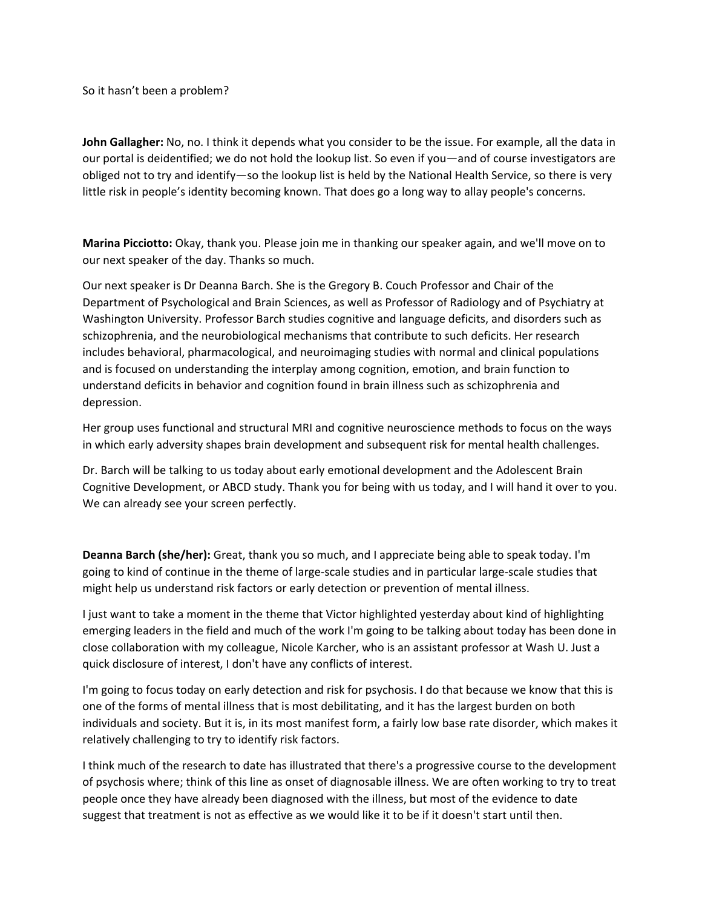So it hasn't been a problem?

**John Gallagher:** No, no. I think it depends what you consider to be the issue. For example, all the data in our portal is deidentified; we do not hold the lookup list. So even if you—and of course investigators are obliged not to try and identify—so the lookup list is held by the National Health Service, so there is very little risk in people's identity becoming known. That does go a long way to allay people's concerns.

**Marina Picciotto:** Okay, thank you. Please join me in thanking our speaker again, and we'll move on to our next speaker of the day. Thanks so much.

Our next speaker is Dr Deanna Barch. She is the Gregory B. Couch Professor and Chair of the Department of Psychological and Brain Sciences, as well as Professor of Radiology and of Psychiatry at Washington University. Professor Barch studies cognitive and language deficits, and disorders such as schizophrenia, and the neurobiological mechanisms that contribute to such deficits. Her research includes behavioral, pharmacological, and neuroimaging studies with normal and clinical populations and is focused on understanding the interplay among cognition, emotion, and brain function to understand deficits in behavior and cognition found in brain illness such as schizophrenia and depression.

Her group uses functional and structural MRI and cognitive neuroscience methods to focus on the ways in which early adversity shapes brain development and subsequent risk for mental health challenges.

Dr. Barch will be talking to us today about early emotional development and the Adolescent Brain Cognitive Development, or ABCD study. Thank you for being with us today, and I will hand it over to you. We can already see your screen perfectly.

**Deanna Barch (she/her):** Great, thank you so much, and I appreciate being able to speak today. I'm going to kind of continue in the theme of large‐scale studies and in particular large‐scale studies that might help us understand risk factors or early detection or prevention of mental illness.

I just want to take a moment in the theme that Victor highlighted yesterday about kind of highlighting emerging leaders in the field and much of the work I'm going to be talking about today has been done in close collaboration with my colleague, Nicole Karcher, who is an assistant professor at Wash U. Just a quick disclosure of interest, I don't have any conflicts of interest.

I'm going to focus today on early detection and risk for psychosis. I do that because we know that this is one of the forms of mental illness that is most debilitating, and it has the largest burden on both individuals and society. But it is, in its most manifest form, a fairly low base rate disorder, which makes it relatively challenging to try to identify risk factors.

I think much of the research to date has illustrated that there's a progressive course to the development of psychosis where; think of this line as onset of diagnosable illness. We are often working to try to treat people once they have already been diagnosed with the illness, but most of the evidence to date suggest that treatment is not as effective as we would like it to be if it doesn't start until then.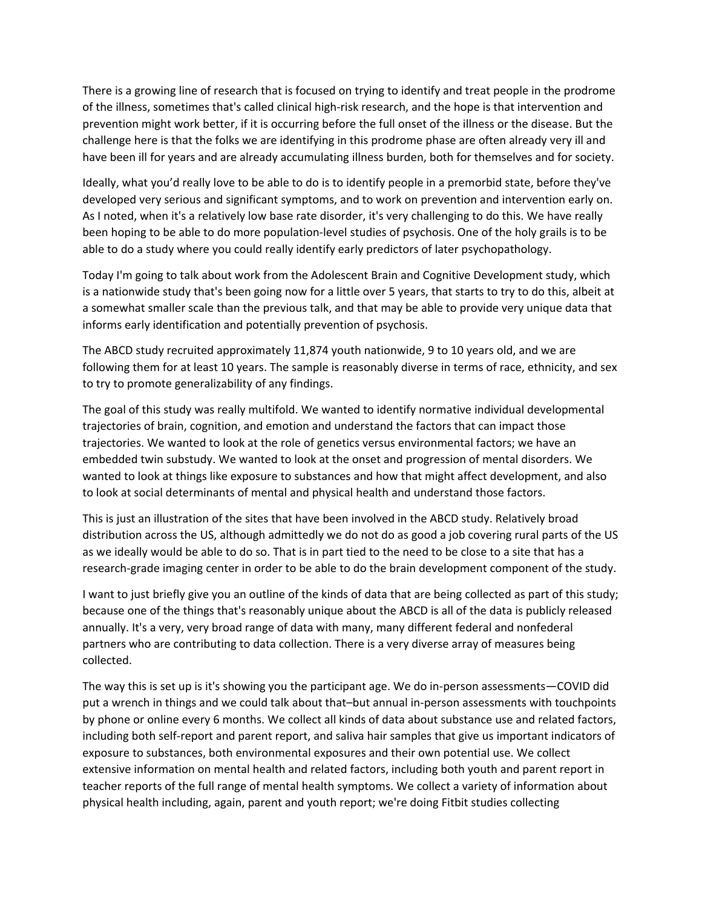There is a growing line of research that is focused on trying to identify and treat people in the prodrome of the illness, sometimes that's called clinical high‐risk research, and the hope is that intervention and prevention might work better, if it is occurring before the full onset of the illness or the disease. But the challenge here is that the folks we are identifying in this prodrome phase are often already very ill and have been ill for years and are already accumulating illness burden, both for themselves and for society.

Ideally, what you'd really love to be able to do is to identify people in a premorbid state, before they've developed very serious and significant symptoms, and to work on prevention and intervention early on. As I noted, when it's a relatively low base rate disorder, it's very challenging to do this. We have really been hoping to be able to do more population‐level studies of psychosis. One of the holy grails is to be able to do a study where you could really identify early predictors of later psychopathology.

Today I'm going to talk about work from the Adolescent Brain and Cognitive Development study, which is a nationwide study that's been going now for a little over 5 years, that starts to try to do this, albeit at a somewhat smaller scale than the previous talk, and that may be able to provide very unique data that informs early identification and potentially prevention of psychosis.

The ABCD study recruited approximately 11,874 youth nationwide, 9 to 10 years old, and we are following them for at least 10 years. The sample is reasonably diverse in terms of race, ethnicity, and sex to try to promote generalizability of any findings.

The goal of this study was really multifold. We wanted to identify normative individual developmental trajectories of brain, cognition, and emotion and understand the factors that can impact those trajectories. We wanted to look at the role of genetics versus environmental factors; we have an embedded twin substudy. We wanted to look at the onset and progression of mental disorders. We wanted to look at things like exposure to substances and how that might affect development, and also to look at social determinants of mental and physical health and understand those factors.

This is just an illustration of the sites that have been involved in the ABCD study. Relatively broad distribution across the US, although admittedly we do not do as good a job covering rural parts of the US as we ideally would be able to do so. That is in part tied to the need to be close to a site that has a research‐grade imaging center in order to be able to do the brain development component of the study.

I want to just briefly give you an outline of the kinds of data that are being collected as part of this study; because one of the things that's reasonably unique about the ABCD is all of the data is publicly released annually. It's a very, very broad range of data with many, many different federal and nonfederal partners who are contributing to data collection. There is a very diverse array of measures being collected.

The way this is set up is it's showing you the participant age. We do in‐person assessments—COVID did put a wrench in things and we could talk about that–but annual in‐person assessments with touchpoints by phone or online every 6 months. We collect all kinds of data about substance use and related factors, including both self‐report and parent report, and saliva hair samples that give us important indicators of exposure to substances, both environmental exposures and their own potential use. We collect extensive information on mental health and related factors, including both youth and parent report in teacher reports of the full range of mental health symptoms. We collect a variety of information about physical health including, again, parent and youth report; we're doing Fitbit studies collecting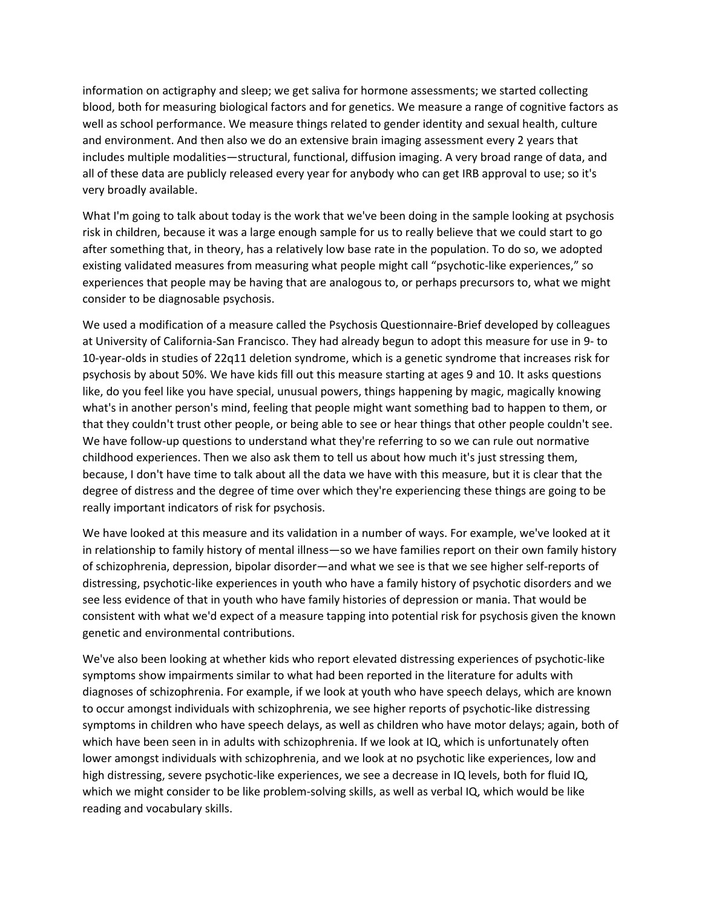information on actigraphy and sleep; we get saliva for hormone assessments; we started collecting blood, both for measuring biological factors and for genetics. We measure a range of cognitive factors as well as school performance. We measure things related to gender identity and sexual health, culture and environment. And then also we do an extensive brain imaging assessment every 2 years that includes multiple modalities—structural, functional, diffusion imaging. A very broad range of data, and all of these data are publicly released every year for anybody who can get IRB approval to use; so it's very broadly available.

What I'm going to talk about today is the work that we've been doing in the sample looking at psychosis risk in children, because it was a large enough sample for us to really believe that we could start to go after something that, in theory, has a relatively low base rate in the population. To do so, we adopted existing validated measures from measuring what people might call "psychotic‐like experiences," so experiences that people may be having that are analogous to, or perhaps precursors to, what we might consider to be diagnosable psychosis.

We used a modification of a measure called the Psychosis Questionnaire-Brief developed by colleagues at University of California‐San Francisco. They had already begun to adopt this measure for use in 9‐ to 10‐year‐olds in studies of 22q11 deletion syndrome, which is a genetic syndrome that increases risk for psychosis by about 50%. We have kids fill out this measure starting at ages 9 and 10. It asks questions like, do you feel like you have special, unusual powers, things happening by magic, magically knowing what's in another person's mind, feeling that people might want something bad to happen to them, or that they couldn't trust other people, or being able to see or hear things that other people couldn't see. We have follow-up questions to understand what they're referring to so we can rule out normative childhood experiences. Then we also ask them to tell us about how much it's just stressing them, because, I don't have time to talk about all the data we have with this measure, but it is clear that the degree of distress and the degree of time over which they're experiencing these things are going to be really important indicators of risk for psychosis.

We have looked at this measure and its validation in a number of ways. For example, we've looked at it in relationship to family history of mental illness—so we have families report on their own family history of schizophrenia, depression, bipolar disorder—and what we see is that we see higher self‐reports of distressing, psychotic‐like experiences in youth who have a family history of psychotic disorders and we see less evidence of that in youth who have family histories of depression or mania. That would be consistent with what we'd expect of a measure tapping into potential risk for psychosis given the known genetic and environmental contributions.

We've also been looking at whether kids who report elevated distressing experiences of psychotic‐like symptoms show impairments similar to what had been reported in the literature for adults with diagnoses of schizophrenia. For example, if we look at youth who have speech delays, which are known to occur amongst individuals with schizophrenia, we see higher reports of psychotic‐like distressing symptoms in children who have speech delays, as well as children who have motor delays; again, both of which have been seen in in adults with schizophrenia. If we look at IQ, which is unfortunately often lower amongst individuals with schizophrenia, and we look at no psychotic like experiences, low and high distressing, severe psychotic-like experiences, we see a decrease in IQ levels, both for fluid IQ, which we might consider to be like problem-solving skills, as well as verbal IQ, which would be like reading and vocabulary skills.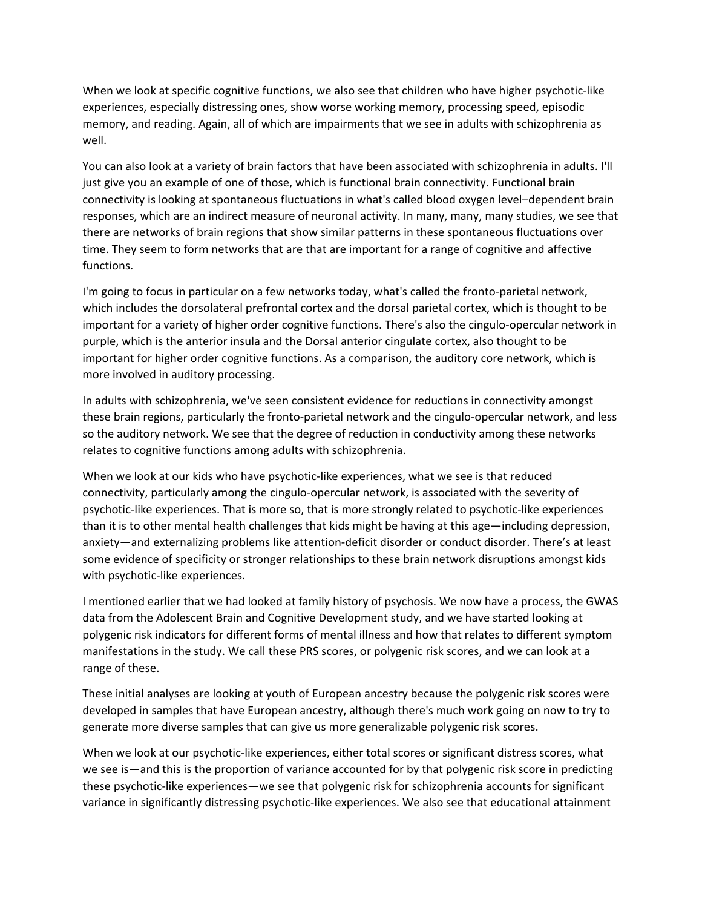When we look at specific cognitive functions, we also see that children who have higher psychotic-like experiences, especially distressing ones, show worse working memory, processing speed, episodic memory, and reading. Again, all of which are impairments that we see in adults with schizophrenia as well.

You can also look at a variety of brain factors that have been associated with schizophrenia in adults. I'll just give you an example of one of those, which is functional brain connectivity. Functional brain connectivity is looking at spontaneous fluctuations in what's called blood oxygen level–dependent brain responses, which are an indirect measure of neuronal activity. In many, many, many studies, we see that there are networks of brain regions that show similar patterns in these spontaneous fluctuations over time. They seem to form networks that are that are important for a range of cognitive and affective functions.

I'm going to focus in particular on a few networks today, what's called the fronto-parietal network, which includes the dorsolateral prefrontal cortex and the dorsal parietal cortex, which is thought to be important for a variety of higher order cognitive functions. There's also the cingulo‐opercular network in purple, which is the anterior insula and the Dorsal anterior cingulate cortex, also thought to be important for higher order cognitive functions. As a comparison, the auditory core network, which is more involved in auditory processing.

In adults with schizophrenia, we've seen consistent evidence for reductions in connectivity amongst these brain regions, particularly the fronto‐parietal network and the cingulo‐opercular network, and less so the auditory network. We see that the degree of reduction in conductivity among these networks relates to cognitive functions among adults with schizophrenia.

When we look at our kids who have psychotic-like experiences, what we see is that reduced connectivity, particularly among the cingulo‐opercular network, is associated with the severity of psychotic‐like experiences. That is more so, that is more strongly related to psychotic‐like experiences than it is to other mental health challenges that kids might be having at this age—including depression, anxiety—and externalizing problems like attention-deficit disorder or conduct disorder. There's at least some evidence of specificity or stronger relationships to these brain network disruptions amongst kids with psychotic-like experiences.

I mentioned earlier that we had looked at family history of psychosis. We now have a process, the GWAS data from the Adolescent Brain and Cognitive Development study, and we have started looking at polygenic risk indicators for different forms of mental illness and how that relates to different symptom manifestations in the study. We call these PRS scores, or polygenic risk scores, and we can look at a range of these.

These initial analyses are looking at youth of European ancestry because the polygenic risk scores were developed in samples that have European ancestry, although there's much work going on now to try to generate more diverse samples that can give us more generalizable polygenic risk scores.

When we look at our psychotic-like experiences, either total scores or significant distress scores, what we see is—and this is the proportion of variance accounted for by that polygenic risk score in predicting these psychotic‐like experiences—we see that polygenic risk for schizophrenia accounts for significant variance in significantly distressing psychotic‐like experiences. We also see that educational attainment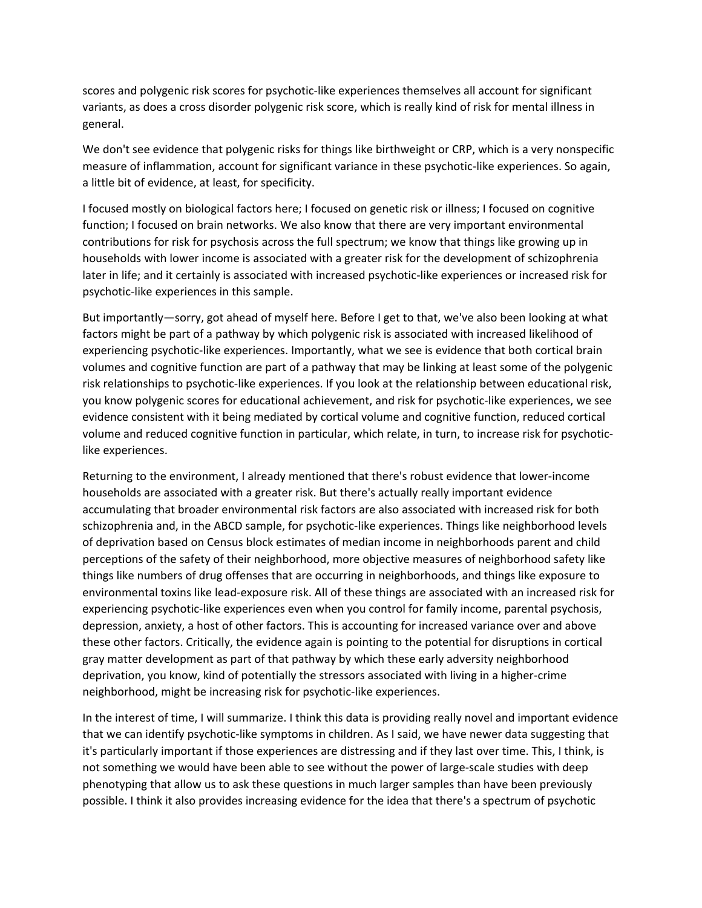scores and polygenic risk scores for psychotic‐like experiences themselves all account for significant variants, as does a cross disorder polygenic risk score, which is really kind of risk for mental illness in general.

We don't see evidence that polygenic risks for things like birthweight or CRP, which is a very nonspecific measure of inflammation, account for significant variance in these psychotic‐like experiences. So again, a little bit of evidence, at least, for specificity.

I focused mostly on biological factors here; I focused on genetic risk or illness; I focused on cognitive function; I focused on brain networks. We also know that there are very important environmental contributions for risk for psychosis across the full spectrum; we know that things like growing up in households with lower income is associated with a greater risk for the development of schizophrenia later in life; and it certainly is associated with increased psychotic‐like experiences or increased risk for psychotic‐like experiences in this sample.

But importantly—sorry, got ahead of myself here. Before I get to that, we've also been looking at what factors might be part of a pathway by which polygenic risk is associated with increased likelihood of experiencing psychotic‐like experiences. Importantly, what we see is evidence that both cortical brain volumes and cognitive function are part of a pathway that may be linking at least some of the polygenic risk relationships to psychotic‐like experiences. If you look at the relationship between educational risk, you know polygenic scores for educational achievement, and risk for psychotic‐like experiences, we see evidence consistent with it being mediated by cortical volume and cognitive function, reduced cortical volume and reduced cognitive function in particular, which relate, in turn, to increase risk for psychotic‐ like experiences.

Returning to the environment, I already mentioned that there's robust evidence that lower‐income households are associated with a greater risk. But there's actually really important evidence accumulating that broader environmental risk factors are also associated with increased risk for both schizophrenia and, in the ABCD sample, for psychotic‐like experiences. Things like neighborhood levels of deprivation based on Census block estimates of median income in neighborhoods parent and child perceptions of the safety of their neighborhood, more objective measures of neighborhood safety like things like numbers of drug offenses that are occurring in neighborhoods, and things like exposure to environmental toxins like lead‐exposure risk. All of these things are associated with an increased risk for experiencing psychotic‐like experiences even when you control for family income, parental psychosis, depression, anxiety, a host of other factors. This is accounting for increased variance over and above these other factors. Critically, the evidence again is pointing to the potential for disruptions in cortical gray matter development as part of that pathway by which these early adversity neighborhood deprivation, you know, kind of potentially the stressors associated with living in a higher-crime neighborhood, might be increasing risk for psychotic‐like experiences.

In the interest of time, I will summarize. I think this data is providing really novel and important evidence that we can identify psychotic‐like symptoms in children. As I said, we have newer data suggesting that it's particularly important if those experiences are distressing and if they last over time. This, I think, is not something we would have been able to see without the power of large-scale studies with deep phenotyping that allow us to ask these questions in much larger samples than have been previously possible. I think it also provides increasing evidence for the idea that there's a spectrum of psychotic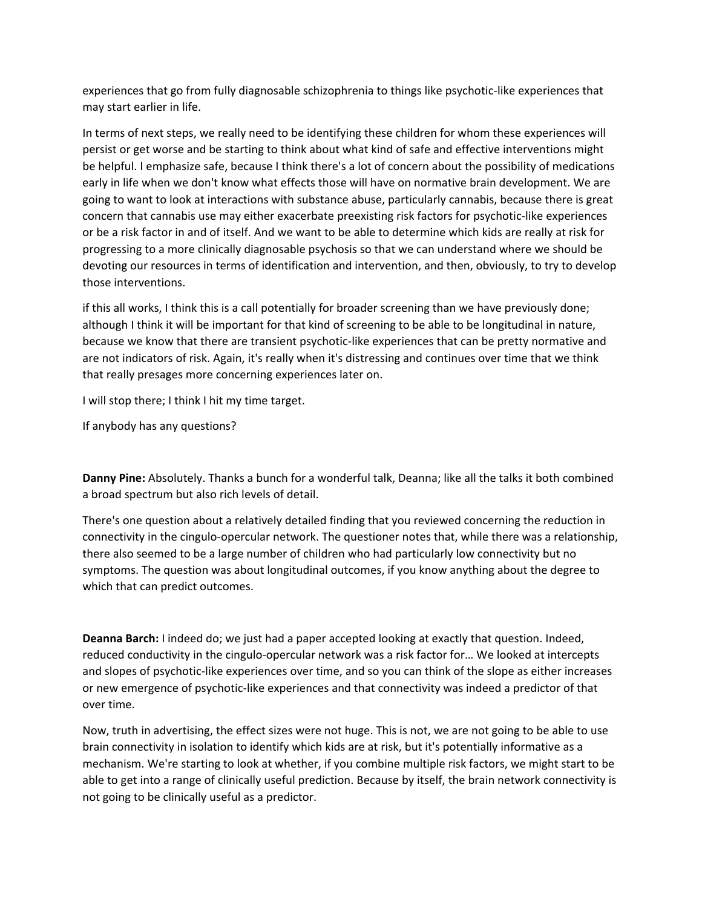experiences that go from fully diagnosable schizophrenia to things like psychotic‐like experiences that may start earlier in life.

In terms of next steps, we really need to be identifying these children for whom these experiences will persist or get worse and be starting to think about what kind of safe and effective interventions might be helpful. I emphasize safe, because I think there's a lot of concern about the possibility of medications early in life when we don't know what effects those will have on normative brain development. We are going to want to look at interactions with substance abuse, particularly cannabis, because there is great concern that cannabis use may either exacerbate preexisting risk factors for psychotic‐like experiences or be a risk factor in and of itself. And we want to be able to determine which kids are really at risk for progressing to a more clinically diagnosable psychosis so that we can understand where we should be devoting our resources in terms of identification and intervention, and then, obviously, to try to develop those interventions.

if this all works, I think this is a call potentially for broader screening than we have previously done; although I think it will be important for that kind of screening to be able to be longitudinal in nature, because we know that there are transient psychotic‐like experiences that can be pretty normative and are not indicators of risk. Again, it's really when it's distressing and continues over time that we think that really presages more concerning experiences later on.

I will stop there; I think I hit my time target.

If anybody has any questions?

**Danny Pine:** Absolutely. Thanks a bunch for a wonderful talk, Deanna; like all the talks it both combined a broad spectrum but also rich levels of detail.

There's one question about a relatively detailed finding that you reviewed concerning the reduction in connectivity in the cingulo‐opercular network. The questioner notes that, while there was a relationship, there also seemed to be a large number of children who had particularly low connectivity but no symptoms. The question was about longitudinal outcomes, if you know anything about the degree to which that can predict outcomes.

**Deanna Barch:** I indeed do; we just had a paper accepted looking at exactly that question. Indeed, reduced conductivity in the cingulo‐opercular network was a risk factor for… We looked at intercepts and slopes of psychotic‐like experiences over time, and so you can think of the slope as either increases or new emergence of psychotic‐like experiences and that connectivity was indeed a predictor of that over time.

Now, truth in advertising, the effect sizes were not huge. This is not, we are not going to be able to use brain connectivity in isolation to identify which kids are at risk, but it's potentially informative as a mechanism. We're starting to look at whether, if you combine multiple risk factors, we might start to be able to get into a range of clinically useful prediction. Because by itself, the brain network connectivity is not going to be clinically useful as a predictor.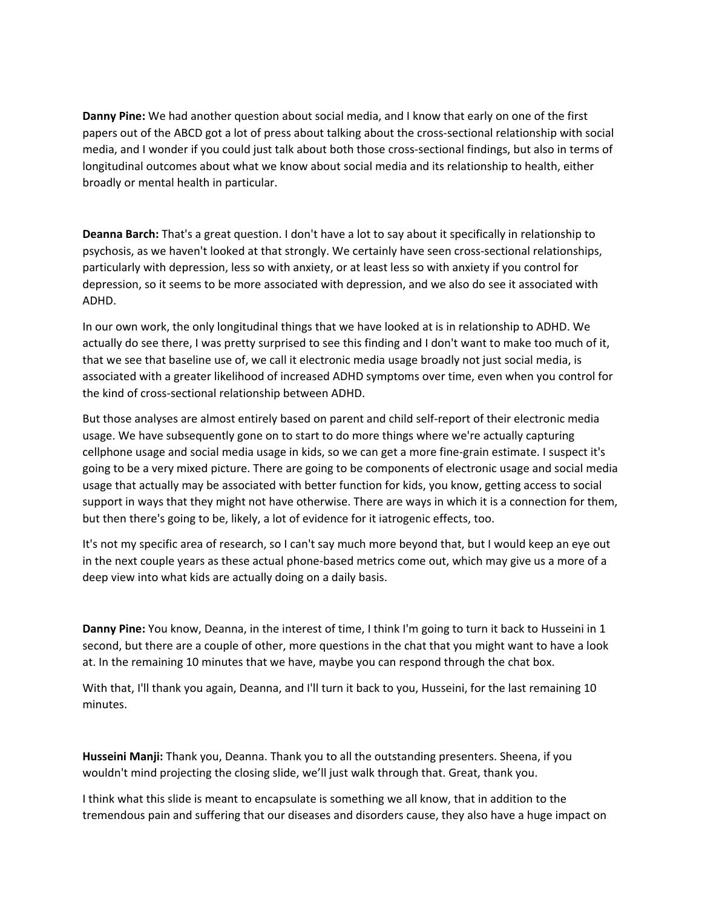**Danny Pine:** We had another question about social media, and I know that early on one of the first papers out of the ABCD got a lot of press about talking about the cross‐sectional relationship with social media, and I wonder if you could just talk about both those cross-sectional findings, but also in terms of longitudinal outcomes about what we know about social media and its relationship to health, either broadly or mental health in particular.

**Deanna Barch:** That's a great question. I don't have a lot to say about it specifically in relationship to psychosis, as we haven't looked at that strongly. We certainly have seen cross‐sectional relationships, particularly with depression, less so with anxiety, or at least less so with anxiety if you control for depression, so it seems to be more associated with depression, and we also do see it associated with ADHD.

In our own work, the only longitudinal things that we have looked at is in relationship to ADHD. We actually do see there, I was pretty surprised to see this finding and I don't want to make too much of it, that we see that baseline use of, we call it electronic media usage broadly not just social media, is associated with a greater likelihood of increased ADHD symptoms over time, even when you control for the kind of cross‐sectional relationship between ADHD.

But those analyses are almost entirely based on parent and child self‐report of their electronic media usage. We have subsequently gone on to start to do more things where we're actually capturing cellphone usage and social media usage in kids, so we can get a more fine‐grain estimate. I suspect it's going to be a very mixed picture. There are going to be components of electronic usage and social media usage that actually may be associated with better function for kids, you know, getting access to social support in ways that they might not have otherwise. There are ways in which it is a connection for them, but then there's going to be, likely, a lot of evidence for it iatrogenic effects, too.

It's not my specific area of research, so I can't say much more beyond that, but I would keep an eye out in the next couple years as these actual phone‐based metrics come out, which may give us a more of a deep view into what kids are actually doing on a daily basis.

**Danny Pine:** You know, Deanna, in the interest of time, I think I'm going to turn it back to Husseini in 1 second, but there are a couple of other, more questions in the chat that you might want to have a look at. In the remaining 10 minutes that we have, maybe you can respond through the chat box.

With that, I'll thank you again, Deanna, and I'll turn it back to you, Husseini, for the last remaining 10 minutes.

**Husseini Manji:** Thank you, Deanna. Thank you to all the outstanding presenters. Sheena, if you wouldn't mind projecting the closing slide, we'll just walk through that. Great, thank you.

I think what this slide is meant to encapsulate is something we all know, that in addition to the tremendous pain and suffering that our diseases and disorders cause, they also have a huge impact on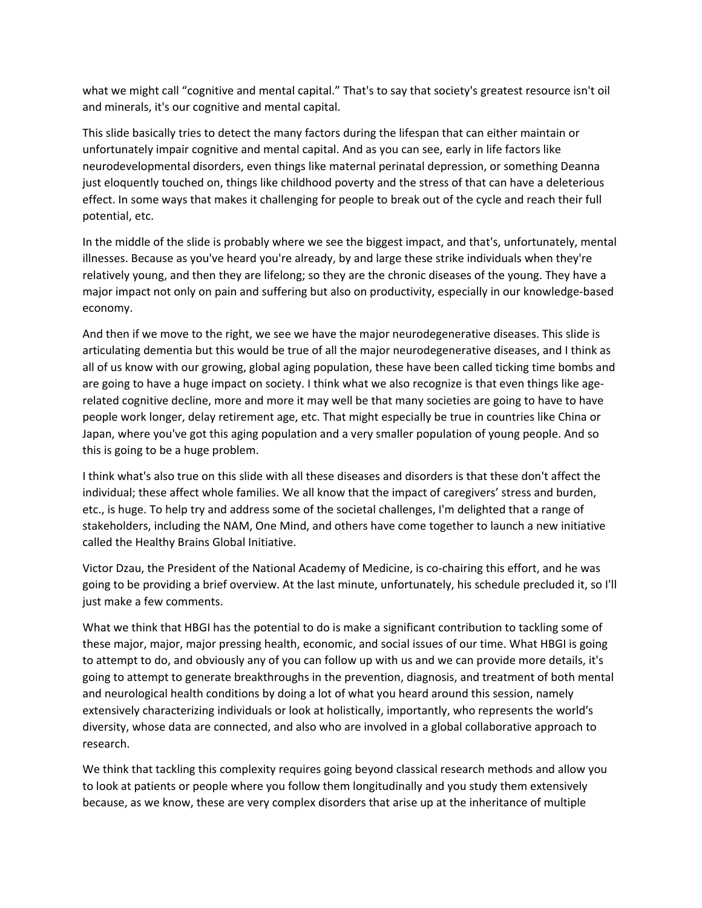what we might call "cognitive and mental capital." That's to say that society's greatest resource isn't oil and minerals, it's our cognitive and mental capital.

This slide basically tries to detect the many factors during the lifespan that can either maintain or unfortunately impair cognitive and mental capital. And as you can see, early in life factors like neurodevelopmental disorders, even things like maternal perinatal depression, or something Deanna just eloquently touched on, things like childhood poverty and the stress of that can have a deleterious effect. In some ways that makes it challenging for people to break out of the cycle and reach their full potential, etc.

In the middle of the slide is probably where we see the biggest impact, and that's, unfortunately, mental illnesses. Because as you've heard you're already, by and large these strike individuals when they're relatively young, and then they are lifelong; so they are the chronic diseases of the young. They have a major impact not only on pain and suffering but also on productivity, especially in our knowledge‐based economy.

And then if we move to the right, we see we have the major neurodegenerative diseases. This slide is articulating dementia but this would be true of all the major neurodegenerative diseases, and I think as all of us know with our growing, global aging population, these have been called ticking time bombs and are going to have a huge impact on society. I think what we also recognize is that even things like agerelated cognitive decline, more and more it may well be that many societies are going to have to have people work longer, delay retirement age, etc. That might especially be true in countries like China or Japan, where you've got this aging population and a very smaller population of young people. And so this is going to be a huge problem.

I think what's also true on this slide with all these diseases and disorders is that these don't affect the individual; these affect whole families. We all know that the impact of caregivers' stress and burden, etc., is huge. To help try and address some of the societal challenges, I'm delighted that a range of stakeholders, including the NAM, One Mind, and others have come together to launch a new initiative called the Healthy Brains Global Initiative.

Victor Dzau, the President of the National Academy of Medicine, is co-chairing this effort, and he was going to be providing a brief overview. At the last minute, unfortunately, his schedule precluded it, so I'll just make a few comments.

What we think that HBGI has the potential to do is make a significant contribution to tackling some of these major, major, major pressing health, economic, and social issues of our time. What HBGI is going to attempt to do, and obviously any of you can follow up with us and we can provide more details, it's going to attempt to generate breakthroughs in the prevention, diagnosis, and treatment of both mental and neurological health conditions by doing a lot of what you heard around this session, namely extensively characterizing individuals or look at holistically, importantly, who represents the world's diversity, whose data are connected, and also who are involved in a global collaborative approach to research.

We think that tackling this complexity requires going beyond classical research methods and allow you to look at patients or people where you follow them longitudinally and you study them extensively because, as we know, these are very complex disorders that arise up at the inheritance of multiple